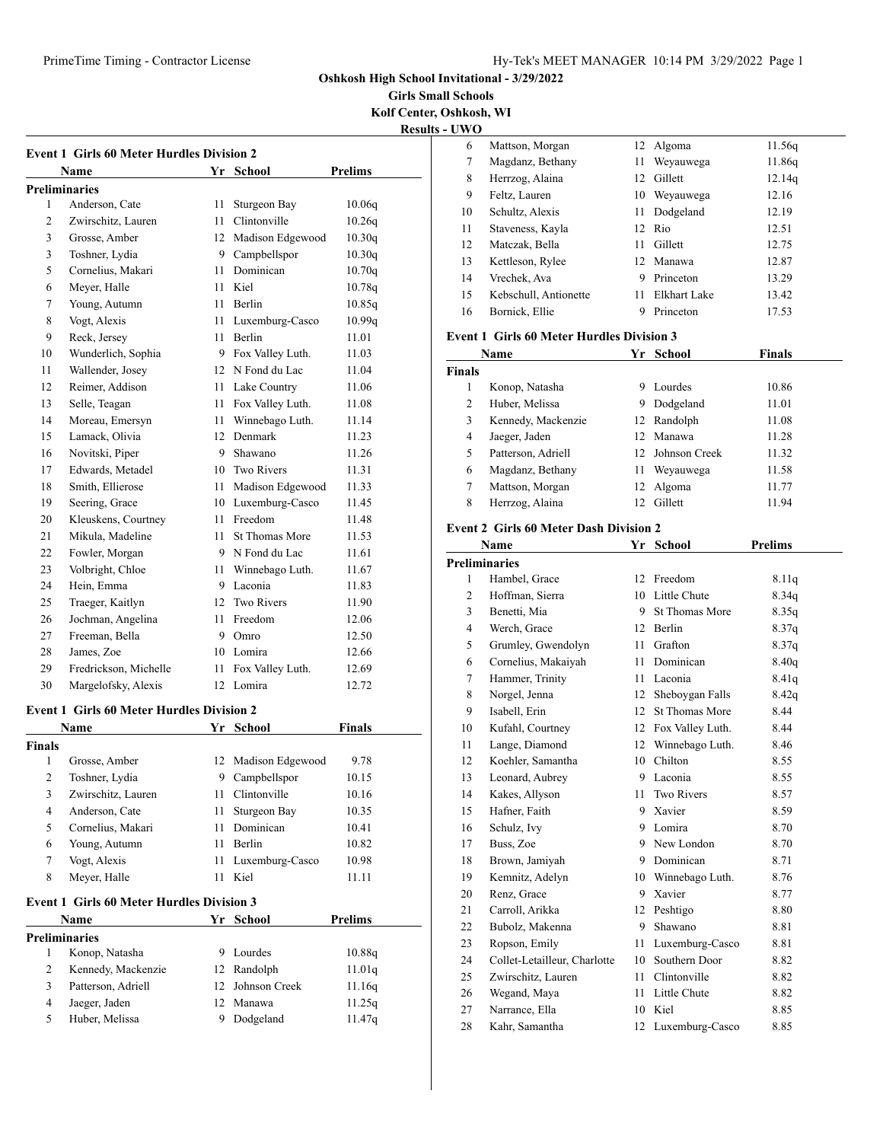**Girls Small Schools Kolf Center, Oshkosh, WI**

|                | <b>Event 1 Girls 60 Meter Hurdles Division 2</b>       |      |                       |                |
|----------------|--------------------------------------------------------|------|-----------------------|----------------|
|                | Name                                                   | Yr   | School                | Prelims        |
|                | <b>Preliminaries</b>                                   |      |                       |                |
| 1              | Anderson, Cate                                         | 11   | Sturgeon Bay          | 10.06q         |
| 2              | Zwirschitz, Lauren                                     | 11.  | Clintonville          | 10.26q         |
| 3              | Grosse, Amber                                          |      | 12 Madison Edgewood   | 10.30q         |
| 3              | Toshner, Lydia                                         |      | 9 Campbellspor        | 10.30q         |
| 5              | Cornelius, Makari                                      | 11   | Dominican             | 10.70q         |
| 6              | Meyer, Halle                                           | 11   | Kiel                  | 10.78q         |
| 7              | Young, Autumn                                          |      | 11 Berlin             | 10.85q         |
| 8              | Vogt, Alexis                                           | 11   | Luxemburg-Casco       | 10.99q         |
| 9              | Reck, Jersey                                           | 11   | Berlin                | 11.01          |
| 10             | Wunderlich, Sophia                                     |      | 9 Fox Valley Luth.    | 11.03          |
| 11             | Wallender, Josey                                       |      | 12 N Fond du Lac      | 11.04          |
| 12             | Reimer, Addison                                        |      | 11 Lake Country       | 11.06          |
| 13             | Selle, Teagan                                          | 11 - | Fox Valley Luth.      | 11.08          |
| 14             | Moreau, Emersyn                                        | 11 - | Winnebago Luth.       | 11.14          |
| 15             | Lamack, Olivia                                         | 12   | Denmark               | 11.23          |
| 16             | Novitski, Piper                                        |      | 9 Shawano             | 11.26          |
| 17             | Edwards, Metadel                                       |      | 10 Two Rivers         | 11.31          |
| 18             | Smith, Ellierose                                       | 11 - | Madison Edgewood      | 11.33          |
| 19             | Seering, Grace                                         |      | 10 Luxemburg-Casco    | 11.45          |
| 20             | Kleuskens, Courtney                                    | 11   | Freedom               | 11.48          |
| 21             | Mikula, Madeline                                       | 11   | <b>St Thomas More</b> | 11.53          |
| 22             | Fowler, Morgan                                         |      | 9 N Fond du Lac       | 11.61          |
| 23             | Volbright, Chloe                                       | 11   | Winnebago Luth.       | 11.67          |
| 24             | Hein, Emma                                             |      | 9 Laconia             | 11.83          |
| 25             | Traeger, Kaitlyn                                       | 12   | <b>Two Rivers</b>     | 11.90          |
| 26             | Jochman, Angelina                                      | 11   | Freedom               | 12.06          |
| 27             | Freeman, Bella                                         |      | 9 Omro                | 12.50          |
| 28             | James, Zoe                                             |      | 10 Lomira             | 12.66          |
| 29             | Fredrickson, Michelle                                  | 11   | Fox Valley Luth.      | 12.69          |
| 30             | Margelofsky, Alexis                                    | 12   | Lomira                | 12.72          |
|                | <b>Event 1 Girls 60 Meter Hurdles Division 2</b>       |      |                       |                |
|                | <b>Name</b>                                            |      | Yr School             | <b>Finals</b>  |
| <b>Finals</b>  |                                                        |      |                       |                |
| 1              | Grosse, Amber                                          | 12   | Madison Edgewood      | 9.78           |
| $\overline{c}$ | Toshner, Lydia                                         |      | 9 Campbellspor        | 10.15          |
| 3              | Zwirschitz, Lauren                                     |      | 11 Clintonville       | 10.16          |
| 4              | Anderson, Cate                                         | 11   | Sturgeon Bay          | 10.35          |
| 5              | Cornelius, Makari                                      | 11   | Dominican             | 10.41          |
| 6              | Young, Autumn                                          | 11   | Berlin                | 10.82          |
| 7              | Vogt, Alexis                                           | 11   | Luxemburg-Casco       | 10.98          |
| 8              | Meyer, Halle                                           | 11   | Kiel                  | 11.11          |
|                | <b>Event 1 Girls 60 Meter Hurdles Division 3</b>       |      |                       |                |
|                | Name<br><u> 1989 - Jan Barnett, fransk politiker (</u> | Yr   | School                | <b>Prelims</b> |
|                | <b>Preliminaries</b>                                   |      |                       |                |
| 1              | Konop, Natasha                                         |      | 9 Lourdes             | 10.88q         |

| 8              | Meyer, Halle                            | 11 | Kiel             | 11.11          | 19 | Kemnitz, A  |
|----------------|-----------------------------------------|----|------------------|----------------|----|-------------|
|                |                                         |    |                  |                | 20 | Renz, Gra   |
|                | ent 1 Girls 60 Meter Hurdles Division 3 |    |                  |                | 21 | Carroll, Ar |
|                | <b>Name</b>                             |    | Yr School        | <b>Prelims</b> | 22 | Bubolz, M   |
|                | liminaries                              |    |                  |                | 23 | Ropson, E   |
| $\mathbf{1}$   | Konop, Natasha                          |    | 9 Lourdes        | 10.88q         | 24 |             |
| 2              | Kennedy, Mackenzie                      |    | 12 Randolph      | 11.01q         |    | Collet-Let  |
|                |                                         |    |                  |                | 25 | Zwirschitz  |
| 3              | Patterson, Adriell                      |    | 12 Johnson Creek | 11.16q         | 26 | Wegand, N   |
| $\overline{4}$ | Jaeger, Jaden                           |    | 12 Manawa        | 11.25q         | 27 | Narrance,   |
| 5              | Huber, Melissa                          |    | Dodgeland        | 11.47q         |    |             |
|                |                                         |    |                  |                | ററ | $V-1.$ $R-$ |

| <b>Results - UWO</b> |                       |    |              |        |
|----------------------|-----------------------|----|--------------|--------|
| 6                    | Mattson, Morgan       |    | 12 Algoma    | 11.56q |
| 7                    | Magdanz, Bethany      | 11 | Weyauwega    | 11.86q |
| 8                    | Herrzog, Alaina       | 12 | Gillett      | 12.14q |
| 9                    | Feltz, Lauren         |    | 10 Weyauwega | 12.16  |
| 10                   | Schultz, Alexis       |    | 11 Dodgeland | 12.19  |
| 11                   | Staveness, Kayla      |    | 12 Rio       | 12.51  |
| 12                   | Matczak, Bella        | 11 | Gillett      | 12.75  |
| 13                   | Kettleson, Rylee      |    | 12 Manawa    | 12.87  |
| 14                   | Vrechek, Ava          | 9  | Princeton    | 13.29  |
| 15                   | Kebschull, Antionette | 11 | Elkhart Lake | 13.42  |
| 16                   | Bornick, Ellie        |    | Princeton    | 17.53  |

#### **Event 1 Girls 60 Meter Hurdles Division 3**

| Name          |                    | Yr.             | School        | <b>Finals</b> |
|---------------|--------------------|-----------------|---------------|---------------|
| <b>Finals</b> |                    |                 |               |               |
|               | Konop, Natasha     | 9               | Lourdes       | 10.86         |
| 2             | Huber, Melissa     | 9               | Dodgeland     | 11.01         |
| 3             | Kennedy, Mackenzie |                 | 12 Randolph   | 11.08         |
| 4             | Jaeger, Jaden      | 12.             | Manawa        | 11.28         |
| 5             | Patterson, Adriell | 12 <sup>7</sup> | Johnson Creek | 11.32         |
| 6             | Magdanz, Bethany   | 11              | Weyauwega     | 11.58         |
| 7             | Mattson, Morgan    | 12.             | Algoma        | 11.77         |
| 8             | Herrzog, Alaina    |                 | Gillett       | 11.94         |

#### **Event 2 Girls 60 Meter Dash Division 2**

| Name           |                              |    | School                | <b>Prelims</b> |
|----------------|------------------------------|----|-----------------------|----------------|
|                | <b>Preliminaries</b>         |    |                       |                |
| 1              | Hambel, Grace                | 12 | Freedom               | 8.11q          |
| $\overline{c}$ | Hoffman, Sierra              | 10 | Little Chute          | 8.34q          |
| 3              | Benetti, Mia                 | 9  | St Thomas More        | 8.35q          |
| $\overline{4}$ | Werch, Grace                 | 12 | Berlin                | 8.37q          |
| 5              | Grumley, Gwendolyn           | 11 | Grafton               | 8.37q          |
| 6              | Cornelius, Makaiyah          | 11 | Dominican             | 8.40q          |
| 7              | Hammer, Trinity              | 11 | Laconia               | 8.41q          |
| 8              | Norgel, Jenna                | 12 | Sheboygan Falls       | 8.42q          |
| 9              | Isabell, Erin                | 12 | <b>St Thomas More</b> | 8.44           |
| 10             | Kufahl, Courtney             | 12 | Fox Valley Luth.      | 8.44           |
| 11             | Lange, Diamond               | 12 | Winnebago Luth.       | 8.46           |
| 12             | Koehler, Samantha            | 10 | Chilton               | 8.55           |
| 13             | Leonard, Aubrey              | 9  | Laconia               | 8.55           |
| 14             | Kakes, Allyson               | 11 | <b>Two Rivers</b>     | 8.57           |
| 15             | Hafner, Faith                | 9  | Xavier                | 8.59           |
| 16             | Schulz, Ivy                  |    | 9 Lomira              | 8.70           |
| 17             | Buss, Zoe                    |    | 9 New London          | 8.70           |
| 18             | Brown, Jamiyah               | 9  | Dominican             | 8.71           |
| 19             | Kemnitz, Adelyn              |    | 10 Winnebago Luth.    | 8.76           |
| 20             | Renz, Grace                  | 9  | Xavier                | 8.77           |
| 21             | Carroll, Arikka              | 12 | Peshtigo              | 8.80           |
| 22             | Bubolz, Makenna              | 9  | Shawano               | 8.81           |
| 23             | Ropson, Emily                | 11 | Luxemburg-Casco       | 8.81           |
| 24             | Collet-Letailleur, Charlotte | 10 | Southern Door         | 8.82           |
| 25             | Zwirschitz, Lauren           | 11 | Clintonville          | 8.82           |
| 26             | Wegand, Maya                 | 11 | Little Chute          | 8.82           |
| 27             | Narrance, Ella               | 10 | Kiel                  | 8.85           |
| 28             | Kahr, Samantha               | 12 | Luxemburg-Casco       | 8.85           |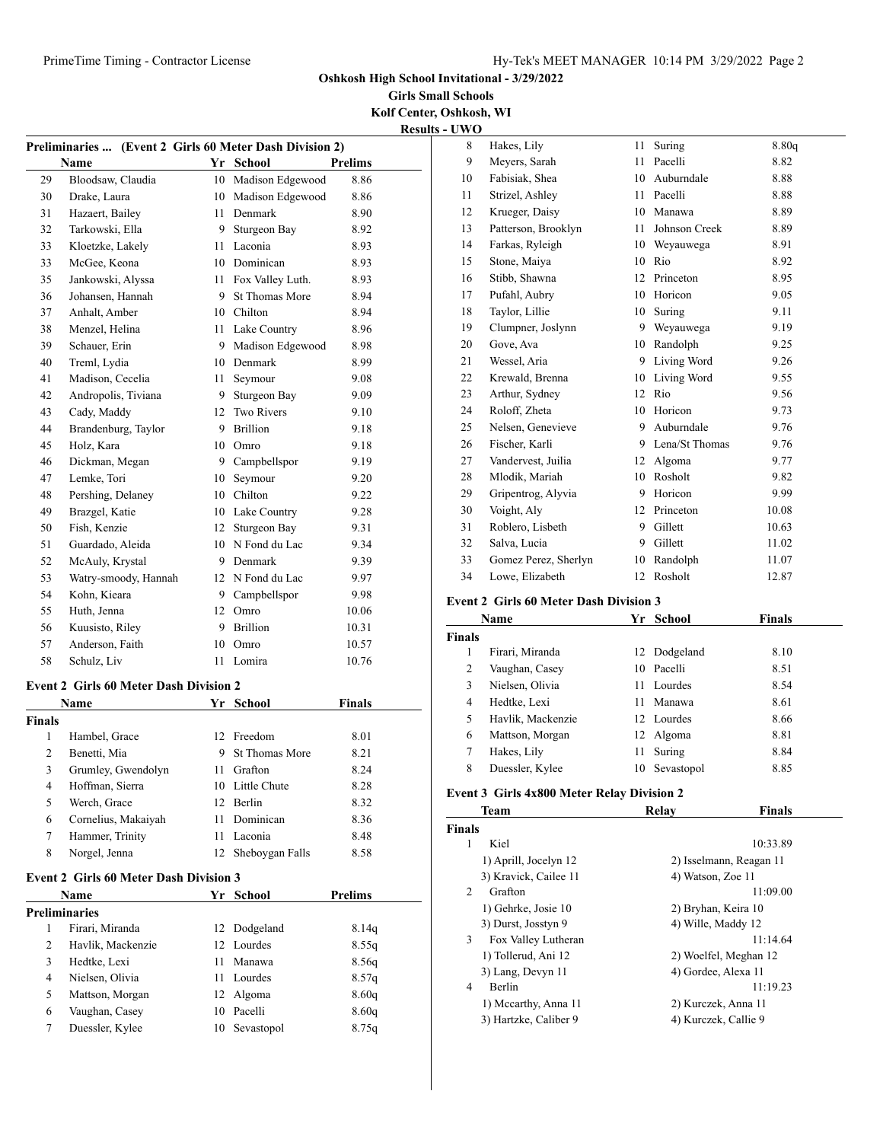**Girls Small Schools Kolf Center, Oshkosh, WI**

**Results - UWO**

|                |                                               |      |                                          |                | n |
|----------------|-----------------------------------------------|------|------------------------------------------|----------------|---|
|                | <b>Preliminaries </b>                         |      | (Event 2 Girls 60 Meter Dash Division 2) |                |   |
|                | Name                                          |      | Yr School                                | Prelims        |   |
| 29             | Bloodsaw, Claudia                             | 10   | Madison Edgewood                         | 8.86           |   |
| 30             | Drake, Laura                                  |      | 10 Madison Edgewood                      | 8.86           |   |
| 31             | Hazaert, Bailey                               |      | 11 Denmark                               | 8.90           |   |
| 32             | Tarkowski, Ella                               | 9.   | Sturgeon Bay                             | 8.92           |   |
| 33             | Kloetzke, Lakely                              | 11   | Laconia                                  | 8.93           |   |
| 33             | McGee, Keona                                  |      | 10 Dominican                             | 8.93           |   |
| 35             | Jankowski, Alyssa                             | 11   | Fox Valley Luth.                         | 8.93           |   |
| 36             | Johansen, Hannah                              | 9    | <b>St Thomas More</b>                    | 8.94           |   |
| 37             | Anhalt, Amber                                 |      | 10 Chilton                               | 8.94           |   |
| 38             | Menzel. Helina                                |      | 11 Lake Country                          | 8.96           |   |
| 39             | Schauer, Erin                                 |      | 9 Madison Edgewood                       | 8.98           |   |
| 40             | Treml, Lydia                                  |      | 10 Denmark                               | 8.99           |   |
| 41             | Madison, Cecelia                              | 11 - | Seymour                                  | 9.08           |   |
| 42             | Andropolis, Tiviana                           | 9    | Sturgeon Bay                             | 9.09           |   |
| 43             | Cady, Maddy                                   |      | 12 Two Rivers                            | 9.10           |   |
| 44             | Brandenburg, Taylor                           | 9.   | Brillion                                 | 9.18           |   |
| 45             | Holz, Kara                                    |      | 10 Omro                                  | 9.18           |   |
| 46             | Dickman, Megan                                | 9    | Campbellspor                             | 9.19           |   |
| 47             | Lemke, Tori                                   | 10   | Seymour                                  | 9.20           |   |
| 48             | Pershing, Delaney                             |      | 10 Chilton                               | 9.22           |   |
| 49             | Brazgel, Katie                                |      | 10 Lake Country                          | 9.28           |   |
| 50             | Fish, Kenzie                                  |      | 12 Sturgeon Bay                          | 9.31           |   |
| 51             | Guardado, Aleida                              |      | 10 N Fond du Lac                         | 9.34           |   |
| 52             | McAuly, Krystal                               |      | 9 Denmark                                | 9.39           |   |
| 53             | Watry-smoody, Hannah                          |      | 12 N Fond du Lac                         | 9.97           |   |
| 54             | Kohn, Kieara                                  |      | 9 Campbellspor                           | 9.98           |   |
| 55             | Huth, Jenna                                   |      | 12 Omro                                  | 10.06          |   |
| 56             | Kuusisto, Riley                               |      | 9 Brillion                               | 10.31          |   |
| 57             | Anderson, Faith                               | 10   | Omro                                     | 10.57          |   |
| 58             | Schulz, Liv                                   | 11   | Lomira                                   | 10.76          |   |
|                |                                               |      |                                          |                |   |
|                | <b>Event 2 Girls 60 Meter Dash Division 2</b> |      |                                          |                |   |
|                | Name                                          | Yr   | School                                   | <b>Finals</b>  |   |
| <b>Finals</b>  |                                               |      |                                          |                |   |
| 1              | Hambel, Grace                                 | 12   | Freedom                                  | 8.01           |   |
| $\overline{c}$ | Benetti, Mia                                  | 9    | <b>St Thomas More</b>                    | 8.21           |   |
| 3              | Grumley, Gwendolyn                            | 11   | Grafton                                  | 8.24           |   |
| 4              | Hoffman, Sierra                               | 10   | Little Chute                             | 8.28           |   |
| 5              | Werch, Grace                                  | 12   | Berlin                                   | 8.32           |   |
| 6              | Cornelius, Makaiyah                           | 11   | Dominican                                | 8.36           |   |
| 7              | Hammer, Trinity                               | 11   | Laconia                                  | 8.48           |   |
| 8              | Norgel, Jenna                                 | 12   | Sheboygan Falls                          | 8.58           |   |
|                |                                               |      |                                          |                |   |
|                | <b>Event 2 Girls 60 Meter Dash Division 3</b> |      |                                          |                |   |
|                | Name                                          |      | Yr School                                | <b>Prelims</b> |   |
|                | <b>Preliminaries</b>                          |      |                                          |                |   |
| 1              | Firari, Miranda                               | 12   | Dodgeland                                | 8.14q          |   |
| 2              | Havlik, Mackenzie                             | 12   | Lourdes                                  | 8.55q          |   |
| 3              | Hedtke, Lexi                                  | 11   | Manawa                                   | 8.56q          |   |
| 4              | Nielsen, Olivia                               | 11   | Lourdes                                  | 8.57q          |   |
| 5              | Mattson, Morgan                               | 12   | Algoma                                   | 8.60q          |   |
| 6              | Vaughan, Casey                                | 10   | Pacelli                                  | 8.60q          |   |
| 7              | Duessler, Kylee                               | 10   | Sevastopol                               | 8.75q          |   |
|                |                                               |      |                                          |                |   |

| 8  | Hakes, Lily          | 11 | Suring         | 8.80q |
|----|----------------------|----|----------------|-------|
| 9  | Meyers, Sarah        | 11 | Pacelli        | 8.82  |
| 10 | Fabisiak, Shea       | 10 | Auburndale     | 8.88  |
| 11 | Strizel, Ashley      | 11 | Pacelli        | 8.88  |
| 12 | Krueger, Daisy       | 10 | Manawa         | 8.89  |
| 13 | Patterson, Brooklyn  | 11 | Johnson Creek  | 8.89  |
| 14 | Farkas, Ryleigh      | 10 | Weyauwega      | 8.91  |
| 15 | Stone, Maiya         | 10 | Rio            | 8.92  |
| 16 | Stibb, Shawna        | 12 | Princeton      | 8.95  |
| 17 | Pufahl, Aubry        | 10 | Horicon        | 9.05  |
| 18 | Taylor, Lillie       | 10 | Suring         | 9.11  |
| 19 | Clumpner, Joslynn    | 9  | Weyauwega      | 9.19  |
| 20 | Gove, Ava            | 10 | Randolph       | 9.25  |
| 21 | Wessel, Aria         | 9  | Living Word    | 9.26  |
| 22 | Krewald, Brenna      | 10 | Living Word    | 9.55  |
| 23 | Arthur, Sydney       | 12 | Rio            | 9.56  |
| 24 | Roloff, Zheta        | 10 | Horicon        | 9.73  |
| 25 | Nelsen, Genevieve    | 9  | Auburndale     | 9.76  |
| 26 | Fischer, Karli       | 9  | Lena/St Thomas | 9.76  |
| 27 | Vandervest, Juilia   | 12 | Algoma         | 9.77  |
| 28 | Mlodik, Mariah       | 10 | Rosholt        | 9.82  |
| 29 | Gripentrog, Alyvia   | 9  | Horicon        | 9.99  |
| 30 | Voight, Aly          | 12 | Princeton      | 10.08 |
| 31 | Roblero, Lisbeth     | 9  | Gillett        | 10.63 |
| 32 | Salva, Lucia         | 9  | Gillett        | 11.02 |
| 33 | Gomez Perez, Sherlyn | 10 | Randolph       | 11.07 |
| 34 | Lowe, Elizabeth      | 12 | Rosholt        | 12.87 |
|    |                      |    |                |       |

#### **Event 2 Girls 60 Meter Dash Division 3**

|                | Name              | Yr | School       | Finals |  |
|----------------|-------------------|----|--------------|--------|--|
| Finals         |                   |    |              |        |  |
| 1              | Firari, Miranda   |    | 12 Dodgeland | 8.10   |  |
| 2              | Vaughan, Casey    | 10 | Pacelli      | 8.51   |  |
| 3              | Nielsen, Olivia   | 11 | Lourdes      | 8.54   |  |
| $\overline{4}$ | Hedtke, Lexi      | 11 | Manawa       | 8.61   |  |
| 5              | Havlik, Mackenzie |    | 12 Lourdes   | 8.66   |  |
| 6              | Mattson, Morgan   |    | 12 Algoma    | 8.81   |  |
| 7              | Hakes, Lily       | 11 | Suring       | 8.84   |  |
| 8              | Duessler, Kylee   | 10 | Sevastopol   | 8.85   |  |
|                |                   |    |              |        |  |

## **Event 3 Girls 4x800 Meter Relay Division 2**

| <b>Team</b>   |                       | Relav                | <b>Finals</b>           |  |
|---------------|-----------------------|----------------------|-------------------------|--|
| <b>Finals</b> |                       |                      |                         |  |
| 1             | Kiel                  |                      | 10:33.89                |  |
|               | 1) Aprill, Jocelyn 12 |                      | 2) Isselmann, Reagan 11 |  |
|               | 3) Kravick, Cailee 11 | 4) Watson, Zoe 11    |                         |  |
| 2             | Grafton               |                      | 11:09.00                |  |
|               | 1) Gehrke, Josie 10   | 2) Bryhan, Keira 10  |                         |  |
|               | 3) Durst, Josstyn 9   | 4) Wille, Maddy 12   |                         |  |
| 3             | Fox Valley Lutheran   |                      | 11:14.64                |  |
|               | 1) Tollerud, Ani 12   |                      | 2) Woelfel, Meghan 12   |  |
|               | 3) Lang, Devyn 11     | 4) Gordee, Alexa 11  |                         |  |
| 4             | <b>Berlin</b>         |                      | 11:19.23                |  |
|               | 1) Mccarthy, Anna 11  |                      | 2) Kurczek, Anna 11     |  |
|               | 3) Hartzke, Caliber 9 | 4) Kurczek, Callie 9 |                         |  |
|               |                       |                      |                         |  |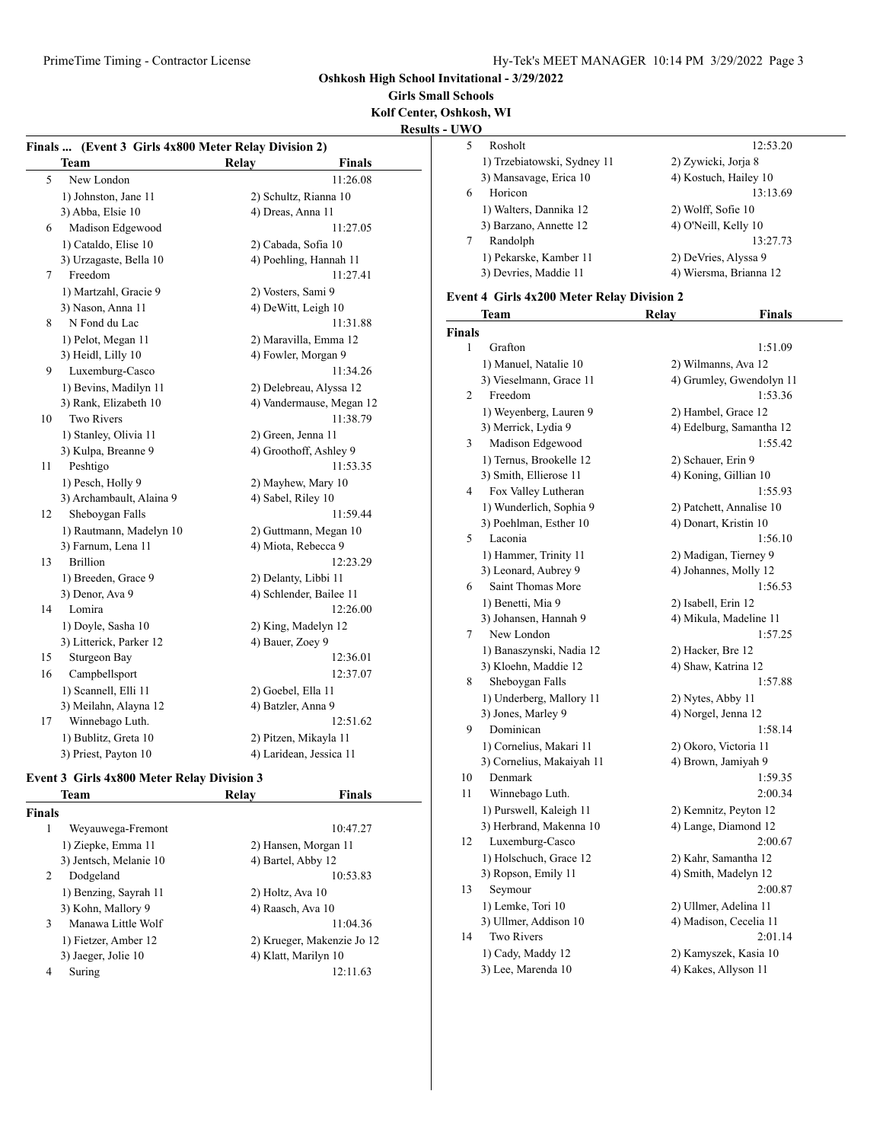**Girls Small Schools Kolf Center, Oshkosh, WI**

**Results - UWO**

| Finals  (Event 3 Girls 4x800 Meter Relay Division 2) |                          |              |                          |
|------------------------------------------------------|--------------------------|--------------|--------------------------|
|                                                      | <b>Team</b>              | <b>Relay</b> | <b>Finals</b>            |
| 5                                                    | New London               |              | 11:26.08                 |
|                                                      | 1) Johnston, Jane 11     |              | 2) Schultz, Rianna 10    |
|                                                      | 3) Abba, Elsie 10        |              | 4) Dreas, Anna 11        |
| 6                                                    | Madison Edgewood         |              | 11:27.05                 |
|                                                      | 1) Cataldo, Elise 10     |              | 2) Cabada, Sofia 10      |
|                                                      | 3) Urzagaste, Bella 10   |              | 4) Poehling, Hannah 11   |
| 7                                                    | Freedom                  |              | 11:27.41                 |
|                                                      | 1) Martzahl, Gracie 9    |              | 2) Vosters, Sami 9       |
|                                                      | 3) Nason, Anna 11        |              | 4) DeWitt, Leigh 10      |
| 8                                                    | N Fond du Lac            |              | 11:31.88                 |
|                                                      | 1) Pelot, Megan 11       |              | 2) Maravilla, Emma 12    |
|                                                      | 3) Heidl, Lilly 10       |              | 4) Fowler, Morgan 9      |
| 9                                                    | Luxemburg-Casco          |              | 11:34.26                 |
|                                                      | 1) Bevins, Madilyn 11    |              | 2) Delebreau, Alyssa 12  |
|                                                      | 3) Rank, Elizabeth 10    |              | 4) Vandermause, Megan 12 |
| 10                                                   | <b>Two Rivers</b>        |              | 11:38.79                 |
|                                                      | 1) Stanley, Olivia 11    |              | 2) Green, Jenna 11       |
|                                                      | 3) Kulpa, Breanne 9      |              | 4) Groothoff, Ashley 9   |
| 11                                                   | Peshtigo                 |              | 11:53.35                 |
|                                                      | 1) Pesch, Holly 9        |              | 2) Mayhew, Mary 10       |
|                                                      | 3) Archambault, Alaina 9 |              | 4) Sabel, Riley 10       |
| 12                                                   | Sheboygan Falls          |              | 11:59.44                 |
|                                                      | 1) Rautmann, Madelyn 10  |              | 2) Guttmann, Megan 10    |
|                                                      | 3) Farnum, Lena 11       |              | 4) Miota, Rebecca 9      |
| 13                                                   | <b>Brillion</b>          |              | 12:23.29                 |
|                                                      | 1) Breeden, Grace 9      |              | 2) Delanty, Libbi 11     |
|                                                      | 3) Denor, Ava 9          |              | 4) Schlender, Bailee 11  |
| 14                                                   | Lomira                   |              | 12:26.00                 |
|                                                      | 1) Doyle, Sasha 10       |              | 2) King, Madelyn 12      |
|                                                      | 3) Litterick, Parker 12  |              | 4) Bauer, Zoey 9         |
| 15                                                   | Sturgeon Bay             |              | 12:36.01                 |
| 16                                                   | Campbellsport            |              | 12:37.07                 |
|                                                      | 1) Scannell, Elli 11     |              | 2) Goebel, Ella 11       |
|                                                      | 3) Meilahn, Alayna 12    |              | 4) Batzler, Anna 9       |
| 17                                                   | Winnebago Luth.          |              | 12:51.62                 |
|                                                      | 1) Bublitz, Greta 10     |              | 2) Pitzen, Mikayla 11    |
|                                                      | 3) Priest, Payton 10     |              | 4) Laridean, Jessica 11  |

# **Event 3 Girls 4x800 Meter Relay Division 3**

|        | Team                   | Relav              | Finals                     |  |
|--------|------------------------|--------------------|----------------------------|--|
| Finals |                        |                    |                            |  |
| 1      | Weyauwega-Fremont      |                    | 10:47.27                   |  |
|        | 1) Ziepke, Emma 11     |                    | 2) Hansen, Morgan 11       |  |
|        | 3) Jentsch, Melanie 10 | 4) Bartel, Abby 12 |                            |  |
| 2      | Dodgeland              |                    | 10:53.83                   |  |
|        | 1) Benzing, Sayrah 11  | 2) Holtz, Ava 10   |                            |  |
|        | 3) Kohn, Mallory 9     | 4) Raasch, Ava 10  |                            |  |
| 3      | Manawa Little Wolf     |                    | 11:04.36                   |  |
|        | 1) Fietzer, Amber 12   |                    | 2) Krueger, Makenzie Jo 12 |  |
|        | 3) Jaeger, Jolie 10    |                    | 4) Klatt, Marilyn 10       |  |
| 4      | Suring                 |                    | 12:11.63                   |  |
|        |                        |                    |                            |  |

|   | Rosholt                     | 12:53.20               |
|---|-----------------------------|------------------------|
|   | 1) Trzebiatowski, Sydney 11 | 2) Zywicki, Jorja 8    |
|   | 3) Mansavage, Erica 10      | 4) Kostuch, Hailey 10  |
| 6 | Horicon                     | 13:13.69               |
|   | 1) Walters, Dannika 12      | 2) Wolff, Sofie 10     |
|   | 3) Barzano, Annette 12      | 4) O'Neill, Kelly 10   |
|   | Randolph                    | 13:27.73               |
|   | 1) Pekarske, Kamber 11      | 2) DeVries, Alyssa 9   |
|   | 3) Devries, Maddie 11       | 4) Wiersma, Brianna 12 |
|   |                             |                        |

### **Event 4 Girls 4x200 Meter Relay Division 2**

|               | <b>Team</b>               | Relay                 | <b>Finals</b>            |
|---------------|---------------------------|-----------------------|--------------------------|
| <b>Finals</b> |                           |                       |                          |
| 1             | Grafton                   |                       | 1:51.09                  |
|               | 1) Manuel, Natalie 10     | 2) Wilmanns, Ava 12   |                          |
|               | 3) Vieselmann, Grace 11   |                       | 4) Grumley, Gwendolyn 11 |
| 2             | Freedom                   |                       | 1:53.36                  |
|               | 1) Weyenberg, Lauren 9    | 2) Hambel, Grace 12   |                          |
|               | 3) Merrick, Lydia 9       |                       | 4) Edelburg, Samantha 12 |
| 3             | Madison Edgewood          |                       | 1:55.42                  |
|               | 1) Ternus, Brookelle 12   | 2) Schauer, Erin 9    |                          |
|               | 3) Smith, Ellierose 11    |                       | 4) Koning, Gillian 10    |
| 4             | Fox Valley Lutheran       |                       | 1:55.93                  |
|               | 1) Wunderlich, Sophia 9   |                       | 2) Patchett, Annalise 10 |
|               | 3) Poehlman, Esther 10    | 4) Donart, Kristin 10 |                          |
| 5             | Laconia                   |                       | 1:56.10                  |
|               | 1) Hammer, Trinity 11     |                       | 2) Madigan, Tierney 9    |
|               | 3) Leonard, Aubrey 9      |                       | 4) Johannes, Molly 12    |
| 6             | Saint Thomas More         |                       | 1:56.53                  |
|               | 1) Benetti, Mia 9         | 2) Isabell, Erin 12   |                          |
|               | 3) Johansen, Hannah 9     |                       | 4) Mikula, Madeline 11   |
| 7             | New London                |                       | 1:57.25                  |
|               | 1) Banaszynski, Nadia 12  | 2) Hacker, Bre 12     |                          |
|               | 3) Kloehn, Maddie 12      | 4) Shaw, Katrina 12   |                          |
| 8             | Sheboygan Falls           |                       | 1:57.88                  |
|               | 1) Underberg, Mallory 11  | 2) Nytes, Abby 11     |                          |
|               | 3) Jones, Marley 9        | 4) Norgel, Jenna 12   |                          |
| 9             | Dominican                 |                       | 1:58.14                  |
|               | 1) Cornelius, Makari 11   |                       | 2) Okoro, Victoria 11    |
|               | 3) Cornelius, Makaiyah 11 | 4) Brown, Jamiyah 9   |                          |
| 10            | Denmark                   |                       | 1:59.35                  |
| 11            | Winnebago Luth.           |                       | 2:00.34                  |
|               | 1) Purswell, Kaleigh 11   |                       | 2) Kemnitz, Peyton 12    |
|               | 3) Herbrand, Makenna 10   |                       | 4) Lange, Diamond 12     |
| 12            | Luxemburg-Casco           |                       | 2:00.67                  |
|               | 1) Holschuch, Grace 12    |                       | 2) Kahr, Samantha 12     |
|               | 3) Ropson, Emily 11       |                       | 4) Smith, Madelyn 12     |
| 13            | Seymour                   |                       | 2:00.87                  |
|               | 1) Lemke, Tori 10         |                       | 2) Ullmer, Adelina 11    |
|               | 3) Ullmer, Addison 10     |                       | 4) Madison, Cecelia 11   |
| 14            | Two Rivers                |                       | 2:01.14                  |
|               | 1) Cady, Maddy 12         |                       | 2) Kamyszek, Kasia 10    |
|               | 3) Lee, Marenda 10        | 4) Kakes, Allyson 11  |                          |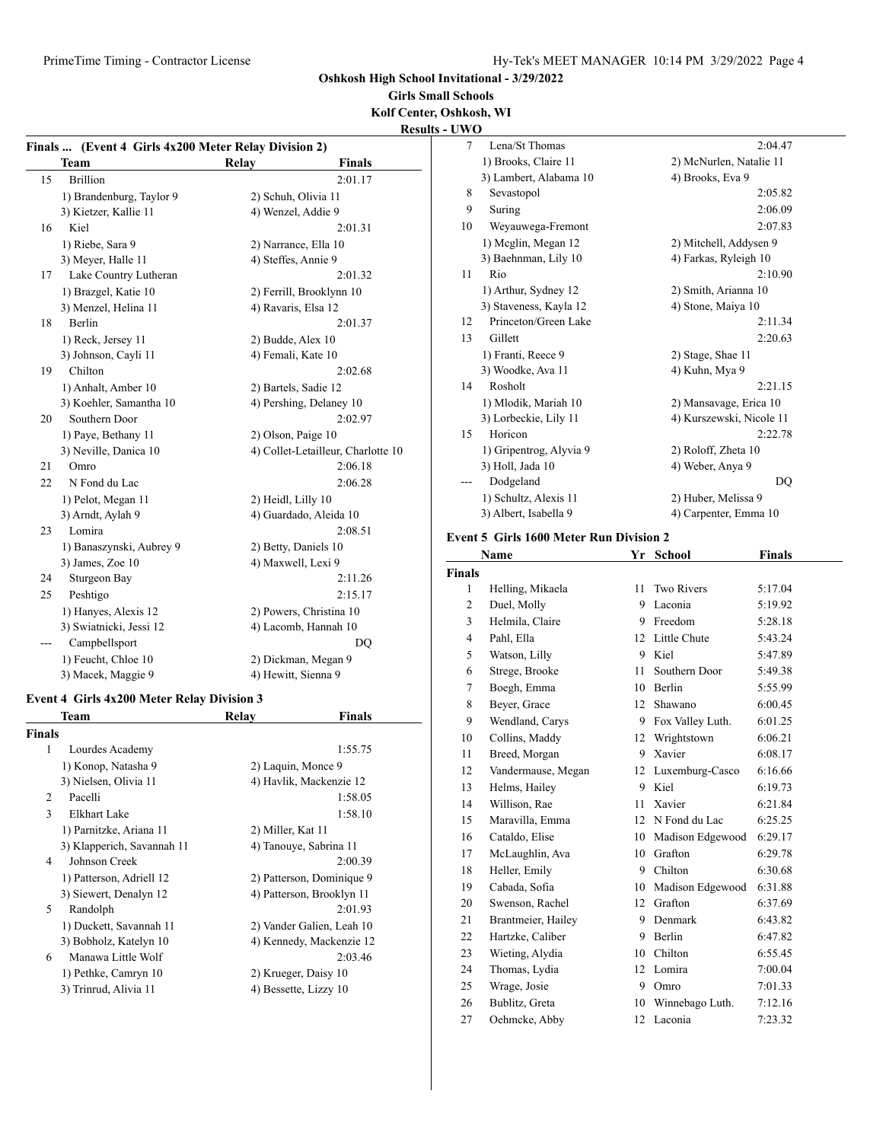**Girls Small Schools Kolf Center, Oshkosh, WI**

| <b>Results - UWO</b> |
|----------------------|
|----------------------|

|    | Finals  (Event 4 Girls 4x200 Meter Relay Division 2) |                      |                                    |  |  |
|----|------------------------------------------------------|----------------------|------------------------------------|--|--|
|    | Team                                                 | Relay                | <b>Finals</b>                      |  |  |
| 15 | <b>Brillion</b>                                      |                      | 2:01.17                            |  |  |
|    | 1) Brandenburg, Taylor 9                             | 2) Schuh, Olivia 11  |                                    |  |  |
|    | 3) Kietzer, Kallie 11                                | 4) Wenzel, Addie 9   |                                    |  |  |
| 16 | Kiel                                                 |                      | 2:01.31                            |  |  |
|    | 1) Riebe, Sara 9                                     | 2) Narrance, Ella 10 |                                    |  |  |
|    | 3) Meyer, Halle 11                                   | 4) Steffes, Annie 9  |                                    |  |  |
| 17 | Lake Country Lutheran                                |                      | 2:01.32                            |  |  |
|    | 1) Brazgel, Katie 10                                 |                      | 2) Ferrill, Brooklynn 10           |  |  |
|    | 3) Menzel, Helina 11                                 | 4) Ravaris, Elsa 12  |                                    |  |  |
| 18 | <b>Berlin</b>                                        |                      | 2:01.37                            |  |  |
|    | 1) Reck, Jersey 11                                   | 2) Budde, Alex 10    |                                    |  |  |
|    | 3) Johnson, Cayli 11                                 | 4) Femali, Kate 10   |                                    |  |  |
| 19 | Chilton                                              |                      | 2:02.68                            |  |  |
|    | 1) Anhalt, Amber 10                                  | 2) Bartels, Sadie 12 |                                    |  |  |
|    | 3) Koehler, Samantha 10                              |                      | 4) Pershing, Delaney 10            |  |  |
| 20 | Southern Door                                        |                      | 2:02.97                            |  |  |
|    | 1) Paye, Bethany 11                                  | 2) Olson, Paige 10   |                                    |  |  |
|    | 3) Neville, Danica 10                                |                      | 4) Collet-Letailleur, Charlotte 10 |  |  |
| 21 | Omro                                                 |                      | 2:06.18                            |  |  |
| 22 | N Fond du Lac                                        |                      | 2:06.28                            |  |  |
|    | 1) Pelot, Megan 11                                   | 2) Heidl, Lilly 10   |                                    |  |  |
|    | 3) Arndt, Aylah 9                                    |                      | 4) Guardado, Aleida 10             |  |  |
| 23 | Lomira                                               |                      | 2:08.51                            |  |  |
|    | 1) Banaszynski, Aubrey 9                             | 2) Betty, Daniels 10 |                                    |  |  |
|    | 3) James, Zoe 10                                     | 4) Maxwell, Lexi 9   |                                    |  |  |
| 24 | Sturgeon Bay                                         |                      | 2:11.26                            |  |  |
| 25 | Peshtigo                                             |                      | 2:15.17                            |  |  |
|    | 1) Hanyes, Alexis 12                                 |                      | 2) Powers, Christina 10            |  |  |
|    | 3) Swiatnicki, Jessi 12                              |                      | 4) Lacomb, Hannah 10               |  |  |
|    | Campbellsport                                        |                      | DO                                 |  |  |
|    | 1) Feucht, Chloe 10                                  |                      | 2) Dickman, Megan 9                |  |  |
|    | 3) Macek, Maggie 9                                   | 4) Hewitt, Sienna 9  |                                    |  |  |

## **Event 4 Girls 4x200 Meter Relay Division 3**

|               | Team                       | Relav                  | <b>Finals</b>             |
|---------------|----------------------------|------------------------|---------------------------|
| <b>Finals</b> |                            |                        |                           |
| 1             | Lourdes Academy            |                        | 1:55.75                   |
|               | 1) Konop, Natasha 9        | 2) Laquin, Monce 9     |                           |
|               | 3) Nielsen, Olivia 11      |                        | 4) Havlik, Mackenzie 12   |
| 2             | Pacelli                    |                        | 1:58.05                   |
| 3             | Elkhart Lake               |                        | 1:58.10                   |
|               | 1) Parnitzke, Ariana 11    | 2) Miller, Kat 11      |                           |
|               | 3) Klapperich, Savannah 11 | 4) Tanouye, Sabrina 11 |                           |
| 4             | Johnson Creek              |                        | 2:00.39                   |
|               | 1) Patterson, Adriell 12   |                        | 2) Patterson, Dominique 9 |
|               | 3) Siewert, Denalyn 12     |                        | 4) Patterson, Brooklyn 11 |
| 5             | Randolph                   |                        | 2:01.93                   |
|               | 1) Duckett, Savannah 11    |                        | 2) Vander Galien, Leah 10 |
|               | 3) Bobholz, Katelyn 10     |                        | 4) Kennedy, Mackenzie 12  |
| 6             | Manawa Little Wolf         |                        | 2:03.46                   |
|               | 1) Pethke, Camryn 10       | 2) Krueger, Daisy 10   |                           |
|               | 3) Trinrud, Alivia 11      | 4) Bessette, Lizzy 10  |                           |
|               |                            |                        |                           |

| ''V |                         |                          |
|-----|-------------------------|--------------------------|
| 7   | Lena/St Thomas          | 2:04.47                  |
|     | 1) Brooks, Claire 11    | 2) McNurlen, Natalie 11  |
|     | 3) Lambert, Alabama 10  | 4) Brooks, Eva 9         |
| 8   | Sevastopol              | 2:05.82                  |
| 9   | Suring                  | 2:06.09                  |
| 10  | Weyauwega-Fremont       | 2:07.83                  |
|     | 1) Meglin, Megan 12     | 2) Mitchell, Addysen 9   |
|     | 3) Baehnman, Lily 10    | 4) Farkas, Ryleigh 10    |
| 11  | Rio                     | 2:10.90                  |
|     | 1) Arthur, Sydney 12    | 2) Smith, Arianna 10     |
|     | 3) Staveness, Kayla 12  | 4) Stone, Maiya 10       |
| 12  | Princeton/Green Lake    | 2:11.34                  |
| 13  | Gillett                 | 2:20.63                  |
|     | 1) Franti, Reece 9      | 2) Stage, Shae 11        |
|     | 3) Woodke, Ava 11       | 4) Kuhn, Mya 9           |
| 14  | Rosholt                 | 2:21.15                  |
|     | 1) Mlodik, Mariah 10    | 2) Mansavage, Erica 10   |
|     | 3) Lorbeckie, Lily 11   | 4) Kurszewski, Nicole 11 |
| 15  | Horicon                 | 2:22.78                  |
|     | 1) Gripentrog, Alyvia 9 | 2) Roloff, Zheta 10      |
|     | 3) Holl, Jada 10        | 4) Weber, Anya 9         |
|     | Dodgeland               | DQ                       |
|     | 1) Schultz, Alexis 11   | 2) Huber, Melissa 9      |
|     | 3) Albert, Isabella 9   | 4) Carpenter, Emma 10    |

#### **Event 5 Girls 1600 Meter Run Division 2**

|                | Name               | Yr | <b>School</b>       | <b>Finals</b> |  |
|----------------|--------------------|----|---------------------|---------------|--|
| <b>Finals</b>  |                    |    |                     |               |  |
| 1              | Helling, Mikaela   | 11 | Two Rivers          | 5:17.04       |  |
| 2              | Duel, Molly        | 9  | Laconia             | 5:19.92       |  |
| 3              | Helmila, Claire    |    | 9 Freedom           | 5:28.18       |  |
| $\overline{4}$ | Pahl, Ella         | 12 | Little Chute        | 5:43.24       |  |
| 5              | Watson, Lilly      | 9  | Kiel                | 5:47.89       |  |
| 6              | Strege, Brooke     | 11 | Southern Door       | 5:49.38       |  |
| 7              | Boegh, Emma        | 10 | Berlin              | 5:55.99       |  |
| 8              | Beyer, Grace       | 12 | Shawano             | 6:00.45       |  |
| 9              | Wendland, Carys    |    | 9 Fox Valley Luth.  | 6:01.25       |  |
| 10             | Collins, Maddy     | 12 | Wrightstown         | 6:06.21       |  |
| 11             | Breed, Morgan      | 9  | Xavier              | 6:08.17       |  |
| 12             | Vandermause, Megan | 12 | Luxemburg-Casco     | 6:16.66       |  |
| 13             | Helms, Hailey      | 9  | Kiel                | 6:19.73       |  |
| 14             | Willison, Rae      | 11 | Xavier              | 6:21.84       |  |
| 15             | Maravilla, Emma    |    | 12 N Fond du Lac    | 6:25.25       |  |
| 16             | Cataldo, Elise     |    | 10 Madison Edgewood | 6:29.17       |  |
| 17             | McLaughlin, Ava    | 10 | Grafton             | 6:29.78       |  |
| 18             | Heller, Emily      | 9  | Chilton             | 6:30.68       |  |
| 19             | Cabada, Sofia      |    | 10 Madison Edgewood | 6:31.88       |  |
| 20             | Swenson, Rachel    | 12 | Grafton             | 6:37.69       |  |
| 21             | Brantmeier, Hailey | 9  | Denmark             | 6:43.82       |  |
| 22             | Hartzke, Caliber   | 9  | Berlin              | 6:47.82       |  |
| 23             | Wieting, Alydia    | 10 | Chilton             | 6:55.45       |  |
| 24             | Thomas, Lydia      | 12 | Lomira              | 7:00.04       |  |
| 25             | Wrage, Josie       | 9  | Omro                | 7:01.33       |  |
| 26             | Bublitz, Greta     | 10 | Winnebago Luth.     | 7:12.16       |  |
| 27             | Oehmcke, Abby      | 12 | Laconia             | 7:23.32       |  |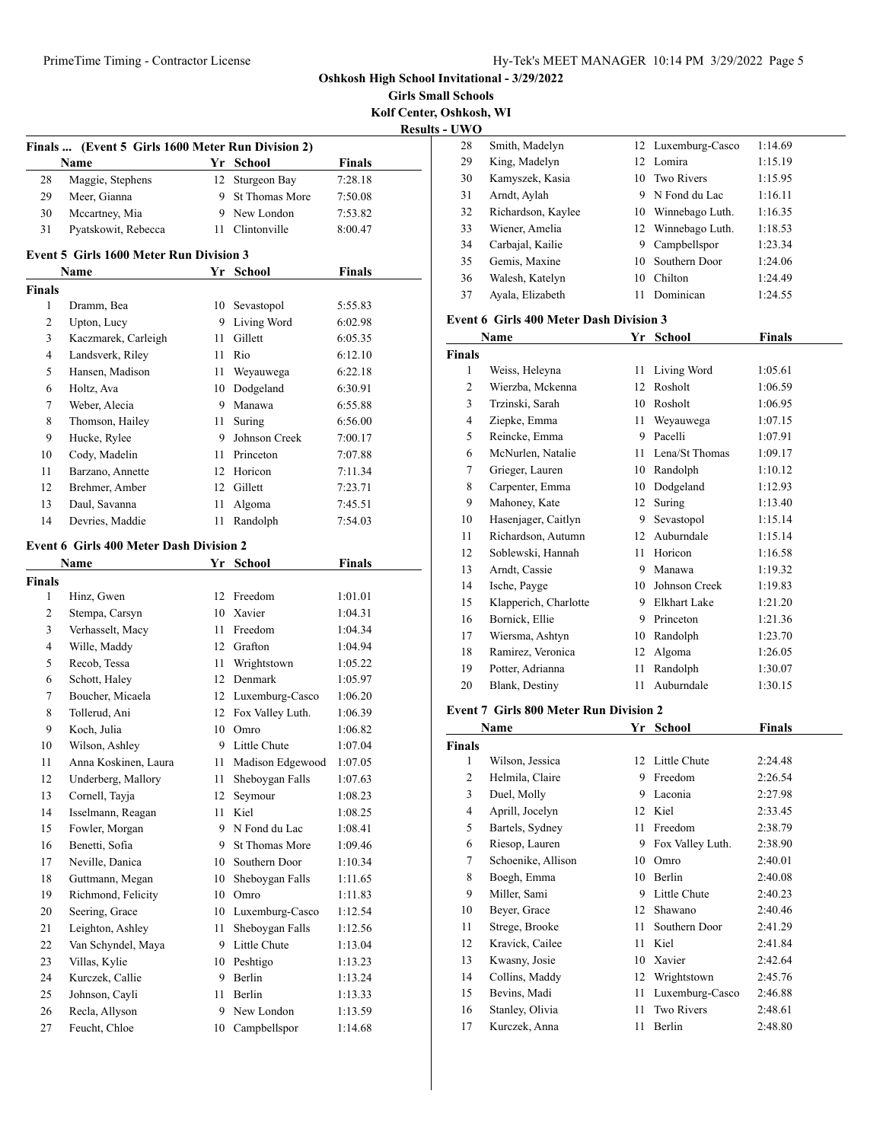**Girls Small Schools Kolf Center, Oshkosh, WI**

**Results - UWO**

|               |                                                |      |                     |               | Kest |
|---------------|------------------------------------------------|------|---------------------|---------------|------|
| <b>Finals</b> | (Event 5 Girls 1600 Meter Run Division 2)      |      |                     |               |      |
|               | Name                                           |      | Yr School           | <b>Finals</b> |      |
| 28            | Maggie, Stephens                               |      | 12 Sturgeon Bay     | 7:28.18       |      |
| 29            | Meer, Gianna                                   |      | 9 St Thomas More    | 7:50.08       |      |
| 30            | Mccartney, Mia                                 |      | 9 New London        | 7:53.82       |      |
| 31            | Pyatskowit, Rebecca                            |      | 11 Clintonville     | 8:00.47       |      |
|               | <b>Event 5 Girls 1600 Meter Run Division 3</b> |      |                     |               |      |
|               | <b>Name</b>                                    |      | Yr School           | Finals        |      |
| <b>Finals</b> |                                                |      |                     |               |      |
| $\mathbf{1}$  | Dramm, Bea                                     | 10   | Sevastopol          | 5:55.83       |      |
| 2             | Upton, Lucy                                    | 9    | Living Word         | 6:02.98       |      |
| 3             | Kaczmarek, Carleigh                            | 11   | Gillett             | 6:05.35       |      |
| 4             | Landsverk, Riley                               |      | 11 Rio              | 6:12.10       |      |
| 5             | Hansen, Madison                                | 11 - | Weyauwega           | 6:22.18       |      |
| 6             | Holtz, Ava                                     |      | 10 Dodgeland        | 6:30.91       |      |
| 7             | Weber, Alecia                                  |      | 9 Manawa            | 6:55.88       |      |
| 8             | Thomson, Hailey                                |      | 11 Suring           | 6:56.00       |      |
| 9             | Hucke, Rylee                                   |      | 9 Johnson Creek     | 7:00.17       |      |
| 10            | Cody, Madelin                                  |      | 11 Princeton        | 7:07.88       |      |
| 11            | Barzano, Annette                               |      | 12 Horicon          | 7:11.34       |      |
| 12            | Brehmer, Amber                                 |      | 12 Gillett          | 7:23.71       |      |
| 13            | Daul, Savanna                                  | 11   | Algoma              | 7:45.51       |      |
| 14            | Devries, Maddie                                | 11   | Randolph            | 7:54.03       |      |
|               | <b>Event 6 Girls 400 Meter Dash Division 2</b> |      |                     |               |      |
|               | Name                                           |      | Yr School           | Finals        |      |
| <b>Finals</b> |                                                |      |                     |               |      |
| 1             | Hinz, Gwen                                     |      | 12 Freedom          | 1:01.01       |      |
| 2             | Stempa, Carsyn                                 |      | 10 Xavier           | 1:04.31       |      |
| 3             | Verhasselt, Macy                               |      | 11 Freedom          | 1:04.34       |      |
| 4             | Wille, Maddy                                   |      | 12 Grafton          | 1:04.94       |      |
| 5             | Recob, Tessa                                   | 11   | Wrightstown         | 1:05.22       |      |
| 6             | Schott, Haley                                  |      | 12 Denmark          | 1:05.97       |      |
| 7             | Boucher, Micaela                               |      | 12 Luxemburg-Casco  | 1:06.20       |      |
| 8             | Tollerud, Ani                                  |      | 12 Fox Valley Luth. | 1:06.39       |      |
| 9             | Koch, Julia                                    |      | 10 Omro             | 1:06.82       |      |
| 10            | Wilson, Ashley                                 |      | 9 Little Chute      | 1:07.04       |      |
| 11            | Anna Koskinen, Laura                           | 11   | Madison Edgewood    | 1:07.05       |      |
| 12            | Underberg, Mallory                             | 11   | Sheboygan Falls     | 1:07.63       |      |
| 13            | Cornell, Tayja                                 | 12   | Seymour             | 1:08.23       |      |
| 14            | Isselmann, Reagan                              | 11   | Kiel                | 1:08.25       |      |
| 15            | Fowler, Morgan                                 | 9    | N Fond du Lac       | 1:08.41       |      |
| 16            | Benetti, Sofia                                 | 9.   | St Thomas More      | 1:09.46       |      |
| 17            | Neville, Danica                                | 10   | Southern Door       |               |      |
|               |                                                |      |                     | 1:10.34       |      |
| 18            | Guttmann, Megan<br>Richmond, Felicity          | 10   | Sheboygan Falls     | 1:11.65       |      |
| 19            |                                                | 10   | Omro                | 1:11.83       |      |
| 20            | Seering, Grace                                 | 10   | Luxemburg-Casco     | 1:12.54       |      |
| 21            | Leighton, Ashley                               | 11   | Sheboygan Falls     | 1:12.56       |      |
| 22            | Van Schyndel, Maya                             | 9.   | Little Chute        | 1:13.04       |      |
| 23            | Villas, Kylie                                  | 10   | Peshtigo            | 1:13.23       |      |
| 24            | Kurczek, Callie                                | 9    | Berlin              | 1:13.24       |      |
| 25            | Johnson, Cayli                                 | 11   | Berlin              | 1:13.33       |      |
| 26            | Recla, Allyson                                 | 9    | New London          | 1:13.59       |      |
| 27            | Feucht, Chloe                                  | 10   | Campbellspor        | 1:14.68       |      |

| 28 | Smith, Madelyn     |    | 12 Luxemburg-Casco | 1:14.69 |
|----|--------------------|----|--------------------|---------|
| 29 | King, Madelyn      |    | 12 Lomira          | 1:15.19 |
| 30 | Kamyszek, Kasia    |    | 10 Two Rivers      | 1:15.95 |
| 31 | Arndt, Aylah       | 9  | N Fond du Lac      | 1:16.11 |
| 32 | Richardson, Kaylee |    | 10 Winnebago Luth. | 1:16.35 |
| 33 | Wiener, Amelia     |    | 12 Winnebago Luth. | 1:18.53 |
| 34 | Carbajal, Kailie   | 9  | Campbellspor       | 1:23.34 |
| 35 | Gemis, Maxine      |    | 10 Southern Door   | 1:24.06 |
| 36 | Walesh, Katelyn    | 10 | Chilton            | 1:24.49 |
| 37 | Ayala, Elizabeth   | 11 | Dominican          | 1:24.55 |
|    |                    |    |                    |         |

#### **Event 6 Girls 400 Meter Dash Division 3**

|                | Name                  | Yr | <b>School</b>       | <b>Finals</b> |
|----------------|-----------------------|----|---------------------|---------------|
| <b>Finals</b>  |                       |    |                     |               |
| 1              | Weiss, Heleyna        | 11 | Living Word         | 1:05.61       |
| $\overline{c}$ | Wierzba, Mckenna      | 12 | Rosholt             | 1:06.59       |
| 3              | Trzinski, Sarah       | 10 | Rosholt             | 1:06.95       |
| 4              | Ziepke, Emma          | 11 | Weyauwega           | 1:07.15       |
| 5              | Reincke, Emma         | 9  | Pacelli             | 1:07.91       |
| 6              | McNurlen, Natalie     | 11 | Lena/St Thomas      | 1:09.17       |
| 7              | Grieger, Lauren       | 10 | Randolph            | 1:10.12       |
| 8              | Carpenter, Emma       | 10 | Dodgeland           | 1:12.93       |
| 9              | Mahoney, Kate         | 12 | Suring              | 1:13.40       |
| 10             | Hasenjager, Caitlyn   | 9  | Sevastopol          | 1:15.14       |
| 11             | Richardson, Autumn    | 12 | Auburndale          | 1:15.14       |
| 12             | Soblewski, Hannah     | 11 | Horicon             | 1:16.58       |
| 13             | Arndt, Cassie         | 9  | Manawa              | 1:19.32       |
| 14             | Ische, Payge          | 10 | Johnson Creek       | 1:19.83       |
| 15             | Klapperich, Charlotte | 9  | <b>Elkhart Lake</b> | 1:21.20       |
| 16             | Bornick, Ellie        | 9  | Princeton           | 1:21.36       |
| 17             | Wiersma, Ashtyn       | 10 | Randolph            | 1:23.70       |
| 18             | Ramirez, Veronica     | 12 | Algoma              | 1:26.05       |
| 19             | Potter, Adrianna      | 11 | Randolph            | 1:30.07       |
| 20             | Blank, Destiny        | 11 | Auburndale          | 1:30.15       |

#### **Event 7 Girls 800 Meter Run Division 2**

|        | Name               | Yr | School            | Finals  |  |
|--------|--------------------|----|-------------------|---------|--|
| Finals |                    |    |                   |         |  |
| 1      | Wilson, Jessica    |    | 12 Little Chute   | 2:24.48 |  |
| 2      | Helmila, Claire    | 9  | Freedom           | 2:26.54 |  |
| 3      | Duel, Molly        | 9  | Laconia           | 2:27.98 |  |
| 4      | Aprill, Jocelyn    | 12 | Kiel              | 2:33.45 |  |
| 5      | Bartels, Sydney    | 11 | Freedom           | 2:38.79 |  |
| 6      | Riesop, Lauren     | 9  | Fox Valley Luth.  | 2:38.90 |  |
| 7      | Schoenike, Allison | 10 | Omro              | 2:40.01 |  |
| 8      | Boegh, Emma        | 10 | Berlin            | 2:40.08 |  |
| 9      | Miller, Sami       | 9  | Little Chute      | 2:40.23 |  |
| 10     | Beyer, Grace       | 12 | Shawano           | 2:40.46 |  |
| 11     | Strege, Brooke     | 11 | Southern Door     | 2:41.29 |  |
| 12     | Kravick, Cailee    | 11 | Kiel              | 2:41.84 |  |
| 13     | Kwasny, Josie      | 10 | Xavier            | 2:42.64 |  |
| 14     | Collins, Maddy     | 12 | Wrightstown       | 2:45.76 |  |
| 15     | Bevins, Madi       | 11 | Luxemburg-Casco   | 2:46.88 |  |
| 16     | Stanley, Olivia    | 11 | <b>Two Rivers</b> | 2:48.61 |  |
| 17     | Kurczek, Anna      | 11 | Berlin            | 2:48.80 |  |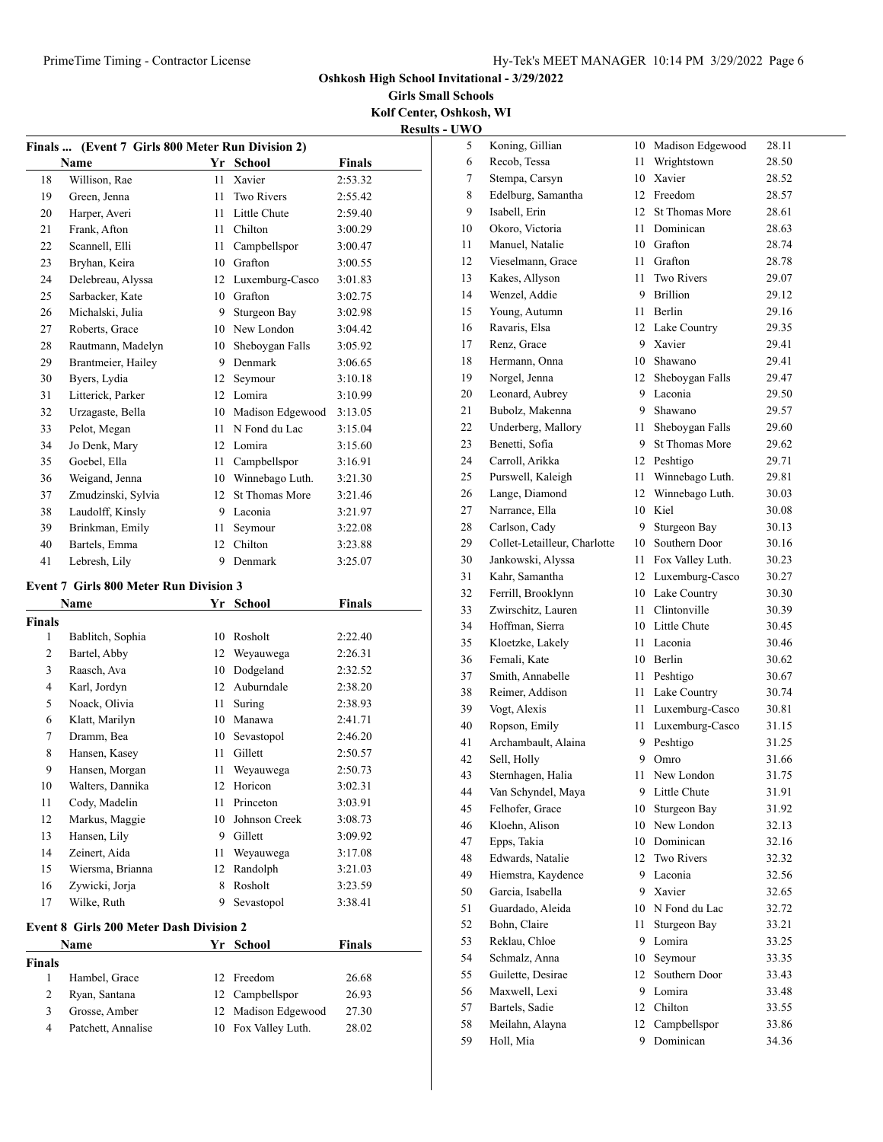**Girls Small Schools Kolf Center, Oshkosh, WI**

**Results - UWO**

| <b>Finals</b> | (Event 7 Girls 800 Meter Run Division 2)<br>Name | Yr | <b>School</b>         | <b>Finals</b> |
|---------------|--------------------------------------------------|----|-----------------------|---------------|
| 18            | Willison, Rae                                    | 11 | Xavier                | 2:53.32       |
| 19            | Green, Jenna                                     | 11 | <b>Two Rivers</b>     | 2:55.42       |
| 20            | Harper, Averi                                    | 11 | Little Chute          | 2:59.40       |
| 21            | Frank, Afton                                     | 11 | Chilton               | 3:00.29       |
| 22            | Scannell, Elli                                   | 11 | Campbellspor          | 3:00.47       |
| 23            | Bryhan, Keira                                    | 10 | Grafton               | 3:00.55       |
| 24            | Delebreau, Alyssa                                | 12 | Luxemburg-Casco       | 3:01.83       |
| 25            | Sarbacker, Kate                                  | 10 | Grafton               | 3:02.75       |
| 26            | Michalski, Julia                                 | 9  | Sturgeon Bay          | 3:02.98       |
| 27            | Roberts, Grace                                   | 10 | New London            | 3:04.42       |
| 28            | Rautmann, Madelyn                                | 10 | Sheboygan Falls       | 3:05.92       |
| 29            | Brantmeier, Hailey                               | 9  | Denmark               | 3:06.65       |
| 30            | Byers, Lydia                                     | 12 | Seymour               | 3:10.18       |
| 31            | Litterick, Parker                                | 12 | Lomira                | 3:10.99       |
| 32            | Urzagaste, Bella                                 | 10 | Madison Edgewood      | 3:13.05       |
| 33            | Pelot, Megan                                     | 11 | N Fond du Lac         | 3:15.04       |
| 34            | Jo Denk, Mary                                    | 12 | Lomira                | 3:15.60       |
| 35            | Goebel, Ella                                     | 11 | Campbellspor          | 3:16.91       |
| 36            | Weigand, Jenna                                   | 10 | Winnebago Luth.       | 3:21.30       |
| 37            | Zmudzinski, Sylvia                               | 12 | <b>St Thomas More</b> | 3:21.46       |
| 38            | Laudolff, Kinsly                                 | 9  | Laconia               | 3:21.97       |
| 39            | Brinkman, Emily                                  | 11 | Seymour               | 3:22.08       |
| 40            | Bartels, Emma                                    | 12 | Chilton               | 3:23.88       |
| 41            | Lebresh, Lily                                    | 9  | Denmark               | 3:25.07       |
|               | <b>Event 7 Girls 800 Meter Run Division 3</b>    |    |                       |               |
|               |                                                  |    |                       |               |
|               | Name                                             | Yr | <b>School</b>         | <b>Finals</b> |
| Finals        |                                                  |    |                       |               |

|  |  | <b>Event 7 Girls 800 Meter Run Division 3</b> |  |
|--|--|-----------------------------------------------|--|
|  |  |                                               |  |

|                | гчаше                                          | 11 | эспоот        | г шаіз  |  |  |  |
|----------------|------------------------------------------------|----|---------------|---------|--|--|--|
| Finals         |                                                |    |               |         |  |  |  |
| 1              | Bablitch, Sophia                               | 10 | Rosholt       | 2:22.40 |  |  |  |
| $\overline{2}$ | Bartel, Abby                                   | 12 | Weyauwega     | 2:26.31 |  |  |  |
| 3              | Raasch, Ava                                    | 10 | Dodgeland     | 2:32.52 |  |  |  |
| $\overline{4}$ | Karl, Jordyn                                   | 12 | Auburndale    | 2:38.20 |  |  |  |
| 5              | Noack, Olivia                                  | 11 | Suring        | 2:38.93 |  |  |  |
| 6              | Klatt, Marilyn                                 | 10 | Manawa        | 2:41.71 |  |  |  |
| 7              | Dramm, Bea                                     | 10 | Sevastopol    | 2:46.20 |  |  |  |
| 8              | Hansen, Kasey                                  | 11 | Gillett       | 2:50.57 |  |  |  |
| 9              | Hansen, Morgan                                 | 11 | Weyauwega     | 2:50.73 |  |  |  |
| 10             | Walters, Dannika                               | 12 | Horicon       | 3:02.31 |  |  |  |
| 11             | Cody, Madelin                                  | 11 | Princeton     | 3:03.91 |  |  |  |
| 12             | Markus, Maggie                                 | 10 | Johnson Creek | 3:08.73 |  |  |  |
| 13             | Hansen, Lily                                   | 9  | Gillett       | 3:09.92 |  |  |  |
| 14             | Zeinert, Aida                                  | 11 | Weyauwega     | 3:17.08 |  |  |  |
| 15             | Wiersma, Brianna                               | 12 | Randolph      | 3:21.03 |  |  |  |
| 16             | Zywicki, Jorja                                 | 8  | Rosholt       | 3:23.59 |  |  |  |
| 17             | Wilke, Ruth                                    | 9  | Sevastopol    | 3:38.41 |  |  |  |
|                | <b>Event 8 Girls 200 Meter Dash Division 2</b> |    |               |         |  |  |  |
|                | School<br>Finals<br>Name<br>Yr                 |    |               |         |  |  |  |

| Finals |                    |                     |       |
|--------|--------------------|---------------------|-------|
|        | Hambel, Grace      | 12 Freedom          | 26.68 |
|        | Ryan, Santana      | 12 Campbellspor     | 26.93 |
| 3      | Grosse, Amber      | 12 Madison Edgewood | 27.30 |
|        | Patchett, Annalise | 10 Fox Valley Luth. | 28.02 |

| 5  | Koning, Gillian              | 10               | Madison Edgewood                   | 28.11 |
|----|------------------------------|------------------|------------------------------------|-------|
| 6  | Recob, Tessa                 | 11               | Wrightstown                        | 28.50 |
| 7  | Stempa, Carsyn               | 10 <sup>10</sup> | Xavier                             | 28.52 |
| 8  | Edelburg, Samantha           | 12               | Freedom                            | 28.57 |
| 9  | Isabell, Erin                | 12               | <b>St Thomas More</b>              | 28.61 |
| 10 | Okoro, Victoria              | 11               | Dominican                          | 28.63 |
| 11 | Manuel, Natalie              | 10               | Grafton                            | 28.74 |
| 12 | Vieselmann, Grace            | 11               | Grafton                            | 28.78 |
| 13 | Kakes, Allyson               | 11               | <b>Two Rivers</b>                  | 29.07 |
| 14 | Wenzel, Addie                | 9                | <b>Brillion</b>                    | 29.12 |
| 15 | Young, Autumn                | 11               | Berlin                             | 29.16 |
| 16 | Ravaris, Elsa                | 12               | Lake Country                       | 29.35 |
| 17 | Renz, Grace                  | 9                | Xavier                             | 29.41 |
| 18 | Hermann, Onna                | 10               | Shawano                            | 29.41 |
| 19 | Norgel, Jenna                | 12               | Sheboygan Falls                    | 29.47 |
| 20 | Leonard, Aubrey              | 9                | Laconia                            | 29.50 |
| 21 | Bubolz, Makenna              | 9                | Shawano                            | 29.57 |
| 22 | Underberg, Mallory           | 11               | Sheboygan Falls                    | 29.60 |
| 23 | Benetti, Sofia               | 9                | <b>St Thomas More</b>              | 29.62 |
| 24 | Carroll, Arikka              | 12               | Peshtigo                           | 29.71 |
|    | Purswell, Kaleigh            | 11               |                                    |       |
| 25 |                              | 12               | Winnebago Luth.<br>Winnebago Luth. | 29.81 |
| 26 | Lange, Diamond               |                  |                                    | 30.03 |
| 27 | Narrance, Ella               | 10               | Kiel                               | 30.08 |
| 28 | Carlson, Cady                | 9                | Sturgeon Bay                       | 30.13 |
| 29 | Collet-Letailleur, Charlotte | 10               | Southern Door                      | 30.16 |
| 30 | Jankowski, Alyssa            | 11               | Fox Valley Luth.                   | 30.23 |
| 31 | Kahr, Samantha               | 12               | Luxemburg-Casco                    | 30.27 |
| 32 | Ferrill, Brooklynn           | 10               | Lake Country                       | 30.30 |
| 33 | Zwirschitz, Lauren           | 11               | Clintonville                       | 30.39 |
| 34 | Hoffman, Sierra              | 10               | Little Chute                       | 30.45 |
| 35 | Kloetzke, Lakely             | 11               | Laconia                            | 30.46 |
| 36 | Femali, Kate                 | 10               | Berlin                             | 30.62 |
| 37 | Smith, Annabelle             | 11               | Peshtigo                           | 30.67 |
| 38 | Reimer, Addison              | 11               | Lake Country                       | 30.74 |
| 39 | Vogt, Alexis                 | 11               | Luxemburg-Casco                    | 30.81 |
| 40 | Ropson, Emily                | 11               | Luxemburg-Casco                    | 31.15 |
| 41 | Archambault, Alaina          | 9                | Peshtigo                           | 31.25 |
| 42 | Sell, Holly                  | 9                | Omro                               | 31.66 |
| 43 | Sternhagen, Halia            | 11               | New London                         | 31.75 |
| 44 | Van Schyndel, Maya           | 9                | Little Chute                       | 31.91 |
| 45 | Felhofer, Grace              | 10               | Sturgeon Bay                       | 31.92 |
| 46 | Kloehn, Alison               | 10               | New London                         | 32.13 |
| 47 | Epps, Takia                  | 10               | Dominican                          | 32.16 |
| 48 | Edwards, Natalie             | 12               | Two Rivers                         | 32.32 |
| 49 | Hiemstra, Kaydence           | 9                | Laconia                            | 32.56 |
| 50 | Garcia, Isabella             | 9                | Xavier                             | 32.65 |
| 51 | Guardado, Aleida             | 10               | N Fond du Lac                      | 32.72 |
| 52 | Bohn, Claire                 | 11               | Sturgeon Bay                       | 33.21 |
| 53 | Reklau, Chloe                | 9                | Lomira                             | 33.25 |
| 54 | Schmalz, Anna                | 10               | Seymour                            | 33.35 |
| 55 | Guilette, Desirae            | 12               | Southern Door                      | 33.43 |
| 56 | Maxwell, Lexi                | 9                | Lomira                             | 33.48 |
| 57 | Bartels, Sadie               | 12               | Chilton                            | 33.55 |
| 58 | Meilahn, Alayna              | 12               | Campbellspor                       | 33.86 |
| 59 | Holl, Mia                    | 9                | Dominican                          | 34.36 |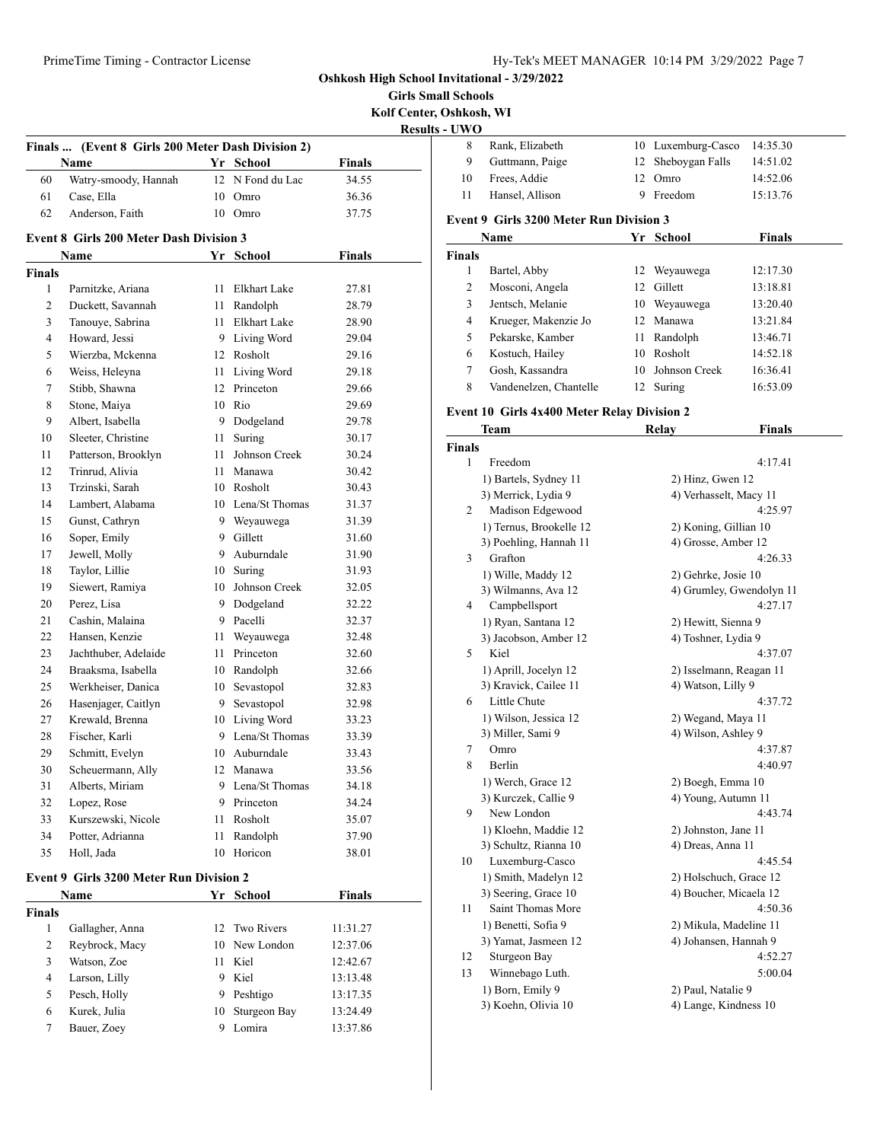**Girls Small Schools Kolf Center, Oshkosh, WI**

**Results - UWO**

|     |               |                               |    | Finals  (Event 8 Girls 200 Meter Dash Division 2) |                |
|-----|---------------|-------------------------------|----|---------------------------------------------------|----------------|
|     | Finals        | Yr School                     |    | <b>Name</b>                                       |                |
|     | 34.55         | 12 N Fond du Lac              |    | Watry-smoody, Hannah                              | 60             |
|     | 36.36         | Omro                          | 10 | Case, Ella                                        | 61             |
| E٨  | 37.75         | 10 Omro                       |    | Anderson, Faith                                   | 62             |
|     |               |                               |    | <b>Event 8 Girls 200 Meter Dash Division 3</b>    |                |
| Fii | <b>Finals</b> | Yr School                     |    | Name                                              |                |
|     |               |                               |    |                                                   | <b>Finals</b>  |
|     | 27.81         | Elkhart Lake                  | 11 | Parnitzke, Ariana                                 | 1              |
|     | 28.79         | Randolph                      | 11 | Duckett, Savannah                                 | $\overline{c}$ |
|     | 28.90         | Elkhart Lake                  | 11 | Tanouye, Sabrina                                  | 3              |
|     | 29.04         | 9 Living Word                 |    | Howard, Jessi                                     | 4              |
|     | 29.16         | 12 Rosholt                    |    | Wierzba, Mckenna                                  | 5              |
|     | 29.18         | Living Word                   | 11 | Weiss, Heleyna                                    | 6              |
|     | 29.66         | 12 Princeton                  |    | Stibb, Shawna                                     | 7              |
|     | 29.69         | Rio                           | 10 | Stone, Maiya                                      | 8              |
| E٨  | 29.78         | Dodgeland                     | 9  | Albert, Isabella                                  | 9              |
|     | 30.17         | Suring                        | 11 | Sleeter, Christine                                | 10             |
| Fii | 30.24         | Johnson Creek                 | 11 | Patterson, Brooklyn                               | 11             |
|     | 30.42         | Manawa                        | 11 | Trinrud, Alivia                                   | 12             |
|     | 30.43         | 10 Rosholt                    |    | Trzinski, Sarah                                   | 13             |
|     | 31.37         | 10 Lena/St Thomas             |    | Lambert, Alabama                                  | 14             |
|     | 31.39         |                               |    |                                                   | 15             |
|     | 31.60         | 9 Weyauwega<br>9 Gillett      |    | Gunst, Cathryn<br>Soper, Emily                    | 16             |
|     |               | Auburndale                    | 9  | Jewell, Molly                                     |                |
|     | 31.90         |                               |    |                                                   | 17             |
|     | 31.93         | 10 Suring<br>10 Johnson Creek |    | Taylor, Lillie                                    | 18             |
|     | 32.05         |                               |    | Siewert, Ramiya                                   | 19             |
|     | 32.22         | Dodgeland                     | 9  | Perez, Lisa                                       | 20             |
|     | 32.37         | Pacelli                       | 9  | Cashin, Malaina                                   | 21             |
|     | 32.48         | Weyauwega                     | 11 | Hansen, Kenzie                                    | 22             |
|     | 32.60         | Princeton                     | 11 | Jachthuber, Adelaide                              | 23             |
|     | 32.66         | Randolph                      | 10 | Braaksma, Isabella                                | 24             |
|     | 32.83         | Sevastopol                    | 10 | Werkheiser, Danica                                | 25             |
|     | 32.98         | Sevastopol                    | 9  | Hasenjager, Caitlyn                               | 26             |
|     | 33.23         | 10 Living Word                |    | Krewald, Brenna                                   | 27             |
|     | 33.39         | Lena/St Thomas                | 9  | Fischer, Karli                                    | 28             |
|     | 33.43         | Auburndale                    | 10 | Schmitt, Evelyn                                   | 29             |
|     | 33.56         | 12 Manawa                     |    | Scheuermann, Ally                                 | 30             |
|     | 34.18         | Lena/St Thomas                | 9  | Alberts, Miriam                                   | 31             |
|     | 34.24         | Princeton                     | 9  | Lopez, Rose                                       | 32             |
|     | 35.07         | Rosholt                       | 11 | Kurszewski, Nicole                                | 33             |
|     | 37.90         | Randolph                      | 11 | Potter, Adrianna                                  | 34             |
|     | 38.01         | Horicon                       | 10 | Holl, Jada                                        | 35             |
|     |               |                               |    | <b>Event 9 Girls 3200 Meter Run Division 2</b>    |                |
|     | <b>Finals</b> | Yr School                     |    | Name                                              |                |
|     |               |                               |    |                                                   | <b>Finals</b>  |
|     | 11:31.27      | <b>Two Rivers</b>             | 12 | Gallagher, Anna                                   | 1              |
|     | 12:37.06      | New London                    | 10 | Reybrock, Macy                                    | 2              |
|     | 12:42.67      | Kiel                          | 11 | Watson, Zoe                                       | 3              |
|     | 13:13.48      | Kiel                          | 9  | Larson, Lilly                                     | 4              |
|     | 13:17.35      | Peshtigo                      | 9  | Pesch, Holly                                      | 5              |
|     | 13:24.49      | Sturgeon Bay                  | 10 | Kurek, Julia                                      | 6              |
|     |               |                               |    |                                                   |                |

|     | Rank, Elizabeth | 10 Luxemburg-Casco 14:35.30 |          |
|-----|-----------------|-----------------------------|----------|
| 9   | Guttmann, Paige | 12 Sheboygan Falls          | 14:51.02 |
| 10  | Frees, Addie    | 12 Omro                     | 14:52.06 |
| -11 | Hansel, Allison | 9 Freedom                   | 15:13.76 |
|     |                 |                             |          |

#### **Event 9 Girls 3200 Meter Run Division 3**

|                | Name                   | Yr | School        | Finals   |  |
|----------------|------------------------|----|---------------|----------|--|
| ∛inals         |                        |    |               |          |  |
|                | Bartel, Abby           | 12 | Weyauwega     | 12:17.30 |  |
| $\overline{c}$ | Mosconi, Angela        | 12 | Gillett       | 13:18.81 |  |
| 3              | Jentsch, Melanie       | 10 | Weyauwega     | 13:20.40 |  |
| 4              | Krueger, Makenzie Jo   |    | 12 Manawa     | 13:21.84 |  |
| 5              | Pekarske, Kamber       | 11 | Randolph      | 13:46.71 |  |
| 6              | Kostuch, Hailey        | 10 | Rosholt       | 14:52.18 |  |
| 7              | Gosh, Kassandra        | 10 | Johnson Creek | 16:36.41 |  |
| 8              | Vandenelzen, Chantelle | 12 | Suring        | 16:53.09 |  |

### **Event 10 Girls 4x400 Meter Relay Division 2**

|      | Team                    | <b>Relay</b>         | <b>Finals</b>            |  |
|------|-------------------------|----------------------|--------------------------|--|
| nals |                         |                      |                          |  |
| 1    | Freedom                 |                      | 4:17.41                  |  |
|      | 1) Bartels, Sydney 11   | 2) Hinz, Gwen 12     |                          |  |
|      | 3) Merrick, Lydia 9     |                      | 4) Verhasselt, Macy 11   |  |
| 2    | Madison Edgewood        |                      | 4:25.97                  |  |
|      | 1) Ternus, Brookelle 12 |                      | 2) Koning, Gillian 10    |  |
|      | 3) Poehling, Hannah 11  |                      | 4) Grosse, Amber 12      |  |
| 3    | Grafton                 |                      | 4:26.33                  |  |
|      | 1) Wille, Maddy 12      | 2) Gehrke, Josie 10  |                          |  |
|      | 3) Wilmanns, Ava 12     |                      | 4) Grumley, Gwendolyn 11 |  |
| 4    | Campbellsport           |                      | 4:27.17                  |  |
|      | 1) Ryan, Santana 12     | 2) Hewitt, Sienna 9  |                          |  |
|      | 3) Jacobson, Amber 12   | 4) Toshner, Lydia 9  |                          |  |
| 5    | Kiel                    |                      | 4:37.07                  |  |
|      | 1) Aprill, Jocelyn 12   |                      | 2) Isselmann, Reagan 11  |  |
|      | 3) Kravick, Cailee 11   | 4) Watson, Lilly 9   |                          |  |
| 6    | Little Chute            |                      | 4:37.72                  |  |
|      | 1) Wilson, Jessica 12   |                      | 2) Wegand, Maya 11       |  |
|      | 3) Miller, Sami 9       | 4) Wilson, Ashley 9  |                          |  |
| 7    | Omro                    |                      | 4:37.87                  |  |
| 8    | Berlin                  |                      | 4:40.97                  |  |
|      | 1) Werch, Grace 12      | 2) Boegh, Emma 10    |                          |  |
|      | 3) Kurczek, Callie 9    |                      | 4) Young, Autumn 11      |  |
| 9    | New London              |                      | 4:43.74                  |  |
|      | 1) Kloehn, Maddie 12    | 2) Johnston, Jane 11 |                          |  |
|      | 3) Schultz, Rianna 10   | 4) Dreas, Anna 11    |                          |  |
| 10   | Luxemburg-Casco         |                      | 4:45.54                  |  |
|      | 1) Smith, Madelyn 12    |                      | 2) Holschuch, Grace 12   |  |
|      | 3) Seering, Grace 10    |                      | 4) Boucher, Micaela 12   |  |
| 11   | Saint Thomas More       |                      | 4:50.36                  |  |
|      | 1) Benetti, Sofia 9     |                      | 2) Mikula, Madeline 11   |  |
|      | 3) Yamat, Jasmeen 12    |                      | 4) Johansen, Hannah 9    |  |
| 12   | Sturgeon Bay            |                      | 4:52.27                  |  |
| 13   | Winnebago Luth.         |                      | 5:00.04                  |  |
|      | 1) Born, Emily 9        | 2) Paul, Natalie 9   |                          |  |
|      | 3) Koehn, Olivia 10     |                      | 4) Lange, Kindness 10    |  |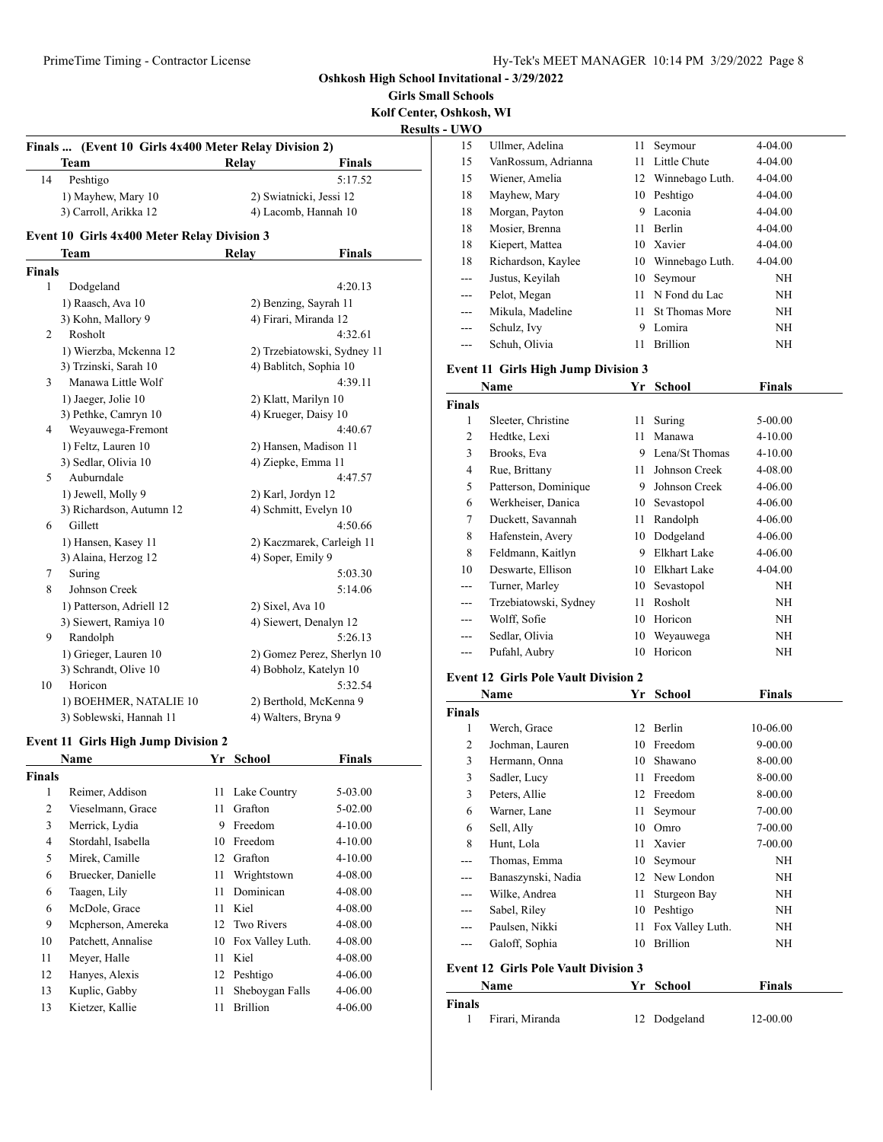**Girls Small Schools Kolf Center, Oshkosh, WI Results - UWO**

| Finals         | (Event 10 Girls 4x400 Meter Relay Division 2) |    |                           |                             |
|----------------|-----------------------------------------------|----|---------------------------|-----------------------------|
|                | Team                                          |    | Relay                     | Finals                      |
| 14             | Peshtigo                                      |    |                           | 5:17.52                     |
|                | 1) Mayhew, Mary 10                            |    | 2) Swiatnicki, Jessi 12   |                             |
|                | 3) Carroll, Arikka 12                         |    | 4) Lacomb, Hannah 10      |                             |
|                | Event 10 Girls 4x400 Meter Relay Division 3   |    |                           |                             |
|                |                                               |    |                           |                             |
|                | Team                                          |    | Relay                     | Finals                      |
| <b>Finals</b>  |                                               |    |                           |                             |
| 1              | Dodgeland                                     |    |                           | 4:20.13                     |
|                | 1) Raasch, Ava 10                             |    | 2) Benzing, Sayrah 11     |                             |
|                | 3) Kohn, Mallory 9                            |    | 4) Firari, Miranda 12     |                             |
| 2              | Rosholt                                       |    |                           | 4:32.61                     |
|                | 1) Wierzba, Mckenna 12                        |    |                           | 2) Trzebiatowski, Sydney 11 |
|                | 3) Trzinski, Sarah 10                         |    | 4) Bablitch, Sophia 10    |                             |
| 3              | Manawa Little Wolf                            |    |                           | 4:39.11                     |
|                | 1) Jaeger, Jolie 10                           |    | 2) Klatt, Marilyn 10      |                             |
|                | 3) Pethke, Camryn 10                          |    | 4) Krueger, Daisy 10      |                             |
| 4              | Weyauwega-Fremont                             |    |                           | 4:40.67                     |
|                | 1) Feltz, Lauren 10                           |    | 2) Hansen, Madison 11     |                             |
|                | 3) Sedlar, Olivia 10                          |    | 4) Ziepke, Emma 11        |                             |
| 5              | Auburndale                                    |    |                           | 4:47.57                     |
|                | 1) Jewell, Molly 9                            |    | 2) Karl, Jordyn 12        |                             |
|                | 3) Richardson, Autumn 12                      |    | 4) Schmitt, Evelyn 10     |                             |
| 6              | Gillett                                       |    |                           | 4:50.66                     |
|                | 1) Hansen, Kasey 11                           |    | 2) Kaczmarek, Carleigh 11 |                             |
|                | 3) Alaina, Herzog 12                          |    | 4) Soper, Emily 9         |                             |
| 7              | Suring                                        |    |                           | 5:03.30                     |
| 8              | Johnson Creek                                 |    |                           | 5:14.06                     |
|                | 1) Patterson, Adriell 12                      |    | 2) Sixel, Ava 10          |                             |
|                | 3) Siewert, Ramiya 10                         |    | 4) Siewert, Denalyn 12    |                             |
| 9              | Randolph                                      |    |                           | 5:26.13                     |
|                | 1) Grieger, Lauren 10                         |    |                           | 2) Gomez Perez, Sherlyn 10  |
|                | 3) Schrandt, Olive 10                         |    | 4) Bobholz, Katelyn 10    |                             |
| 10             | Horicon                                       |    |                           | 5:32.54                     |
|                | 1) BOEHMER, NATALIE 10                        |    | 2) Berthold, McKenna 9    |                             |
|                | 3) Soblewski, Hannah 11                       |    | 4) Walters, Bryna 9       |                             |
|                | <b>Event 11 Girls High Jump Division 2</b>    |    |                           |                             |
|                |                                               |    |                           |                             |
|                | Name                                          | Yr | School                    | Finals                      |
| <b>Finals</b>  |                                               |    |                           |                             |
| 1              | Reimer, Addison                               | 11 | Lake Country              | 5-03.00                     |
| $\overline{2}$ | Vieselmann, Grace                             | 11 | Grafton                   | 5-02.00                     |
| 3              | Merrick, Lydia                                | 9  | Freedom                   | 4-10.00                     |

 Stordahl, Isabella 10 Freedom 4-10.00 5 Mirek, Camille 12 Grafton 4-10.00 Bruecker, Danielle 11 Wrightstown 4-08.00 Taagen, Lily 11 Dominican 4-08.00 McDole, Grace 11 Kiel 4-08.00 Mcpherson, Amereka 12 Two Rivers 4-08.00 Patchett, Annalise 10 Fox Valley Luth. 4-08.00 11 Meyer, Halle 11 Kiel 4-08.00 Hanyes, Alexis 12 Peshtigo 4-06.00 Kuplic, Gabby 11 Sheboygan Falls 4-06.00 Kietzer, Kallie 11 Brillion 4-06.00

| $\mathbf{v}$ in $\mathbf{v}$ |                                            |    |                       |               |  |
|------------------------------|--------------------------------------------|----|-----------------------|---------------|--|
| 15                           | Ullmer, Adelina                            | 11 | Seymour               | 4-04.00       |  |
| 15                           | VanRossum, Adrianna                        | 11 | Little Chute          | 4-04.00       |  |
| 15                           | Wiener, Amelia                             | 12 | Winnebago Luth.       | 4-04.00       |  |
| 18                           | Mayhew, Mary                               | 10 | Peshtigo              | 4-04.00       |  |
| 18                           | Morgan, Payton                             | 9  | Laconia               | 4-04.00       |  |
| 18                           | Mosier, Brenna                             | 11 | <b>Berlin</b>         | 4-04.00       |  |
| 18                           | Kiepert, Mattea                            | 10 | Xavier                | 4-04.00       |  |
| 18                           | Richardson, Kaylee                         | 10 | Winnebago Luth.       | 4-04.00       |  |
|                              | Justus, Keyilah                            | 10 | Seymour               | NH            |  |
|                              | Pelot, Megan                               | 11 | N Fond du Lac         | NΗ            |  |
| ---                          | Mikula, Madeline                           | 11 | <b>St Thomas More</b> | NΗ            |  |
|                              | Schulz, Ivy                                | 9  | Lomira                | NH            |  |
| ---                          | Schuh, Olivia                              | 11 | <b>Brillion</b>       | NH            |  |
|                              | <b>Event 11 Girls High Jump Division 3</b> |    |                       |               |  |
|                              | Name                                       | Yr | <b>School</b>         | <b>Finals</b> |  |
| <b>Finals</b>                |                                            |    |                       |               |  |
| 1                            | Sleeter, Christine                         | 11 | Suring                | $5-00.00$     |  |
| 2                            | Hedtke, Lexi                               | 11 | Manawa                | 4-10.00       |  |
| 3                            | Brooks, Eva                                | 9  | Lena/St Thomas        | $4 - 10.00$   |  |
| 4                            | Rue, Brittany                              | 11 | Johnson Creek         | 4-08.00       |  |
| 5                            | Patterson, Dominique                       | 9  | Johnson Creek         | 4-06.00       |  |

6 Werkheiser, Danica 10 Sevastopol 4-06.00 7 Duckett, Savannah 11 Randolph 4-06.00 8 Hafenstein, Avery 10 Dodgeland 4-06.00 8 Feldmann, Kaitlyn 9 Elkhart Lake 4-06.00 10 Deswarte, Ellison 10 Elkhart Lake 4-04.00 --- Turner, Marley 10 Sevastopol NH --- Trzebiatowski, Sydney 11 Rosholt NH --- Wolff, Sofie 10 Horicon NH --- Sedlar, Olivia 10 Weyauwega NH --- Pufahl, Aubry 10 Horicon NH

#### **Event 12 Girls Pole Vault Division 2**

|               | Name                                        | Yr | <b>School</b>    | <b>Finals</b> |
|---------------|---------------------------------------------|----|------------------|---------------|
| <b>Finals</b> |                                             |    |                  |               |
| 1             | Werch, Grace                                | 12 | <b>Berlin</b>    | 10-06.00      |
| 2             | Jochman, Lauren                             | 10 | Freedom          | 9-00.00       |
| 3             | Hermann, Onna                               | 10 | Shawano          | 8-00.00       |
| 3             | Sadler, Lucy                                | 11 | Freedom          | 8-00.00       |
| 3             | Peters, Allie                               | 12 | Freedom          | 8-00.00       |
| 6             | Warner, Lane                                | 11 | Seymour          | 7-00.00       |
| 6             | Sell, Ally                                  | 10 | Omro             | 7-00.00       |
| 8             | Hunt, Lola                                  | 11 | Xavier           | 7-00.00       |
| ---           | Thomas, Emma                                | 10 | Seymour          | NH            |
| ---           | Banaszynski, Nadia                          | 12 | New London       | NH            |
| ---           | Wilke, Andrea                               | 11 | Sturgeon Bay     | NH            |
| ---           | Sabel, Riley                                | 10 | Peshtigo         | NH            |
| ---           | Paulsen, Nikki                              | 11 | Fox Valley Luth. | NH            |
| ---           | Galoff, Sophia                              | 10 | <b>Brillion</b>  | NH            |
|               | <b>Event 12 Girls Pole Vault Division 3</b> |    |                  |               |
|               | Name                                        | Yr | School           | Finals        |

| <b>Finals</b> |                 |              |          |
|---------------|-----------------|--------------|----------|
|               | Firari, Miranda | 12 Dodgeland | 12-00.00 |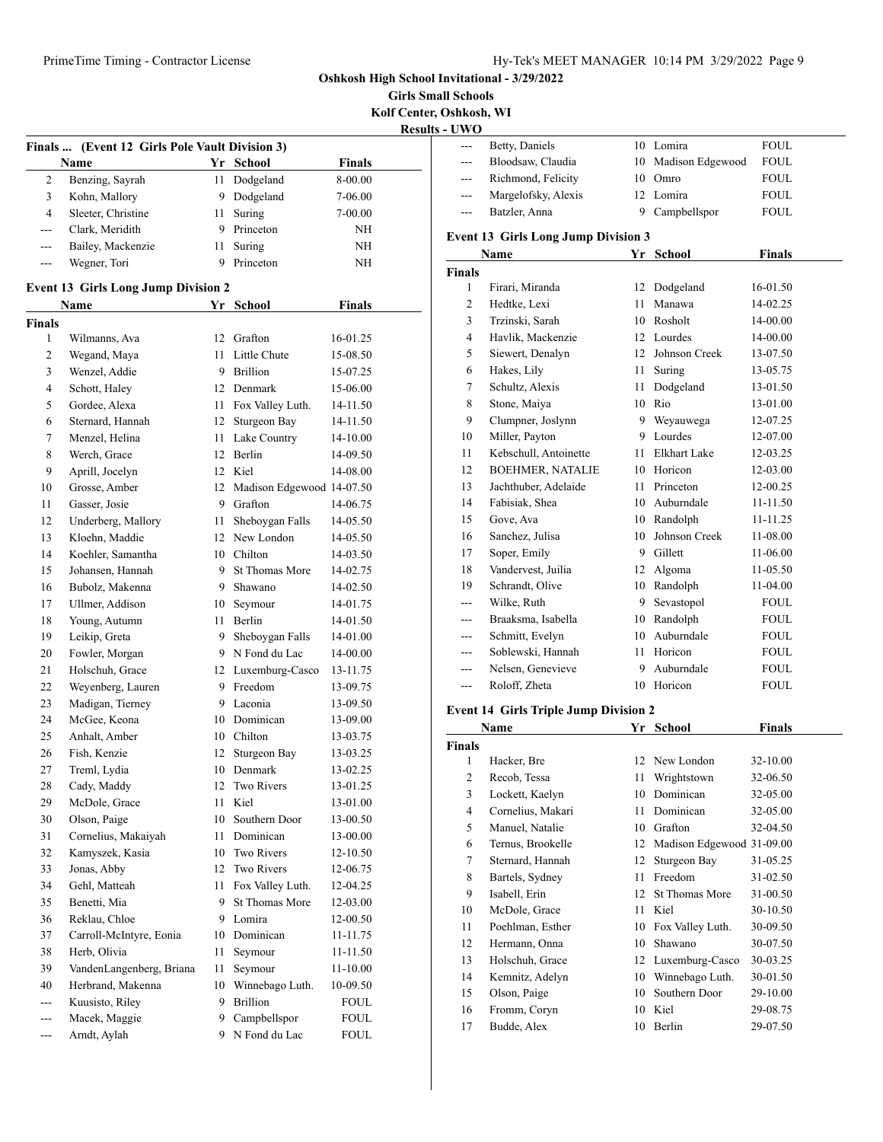**Girls Small Schools Kolf Center, Oshkosh, WI**

| <b>Results - UWO</b> |  |  |
|----------------------|--|--|
|                      |  |  |

|                |                                                |    |                           |               | $\bf R$ |
|----------------|------------------------------------------------|----|---------------------------|---------------|---------|
|                | Finals  (Event 12 Girls Pole Vault Division 3) |    |                           |               |         |
|                | Name                                           |    | Yr School                 | <b>Finals</b> |         |
| 2              | Benzing, Sayrah                                | 11 | Dodgeland                 | 8-00.00       |         |
| 3              | Kohn, Mallory                                  | 9. | Dodgeland                 | 7-06.00       |         |
| $\overline{4}$ | Sleeter, Christine                             | 11 | Suring                    | 7-00.00       |         |
| ---            | Clark, Meridith                                |    | 9 Princeton               | NΗ            |         |
| $- - -$        | Bailey, Mackenzie                              | 11 | Suring                    | ΝH            |         |
| ---            | Wegner, Tori                                   | 9  | Princeton                 | ΝH            |         |
|                | <b>Event 13 Girls Long Jump Division 2</b>     |    |                           |               |         |
|                | Name                                           | Yr | School                    | <b>Finals</b> |         |
| <b>Finals</b>  |                                                |    |                           |               |         |
| 1              | Wilmanns, Ava                                  |    | 12 Grafton                | 16-01.25      |         |
| 2              | Wegand, Maya                                   |    | 11 Little Chute           | 15-08.50      |         |
| 3              | Wenzel, Addie                                  | 9  | Brillion                  | 15-07.25      |         |
| 4              | Schott, Haley                                  |    | 12 Denmark                | 15-06.00      |         |
| 5              | Gordee, Alexa                                  |    | 11 Fox Valley Luth.       | 14-11.50      |         |
| 6              | Sternard, Hannah                               | 12 | Sturgeon Bay              | 14-11.50      |         |
| 7              | Menzel, Helina                                 | 11 | Lake Country              | 14-10.00      |         |
| 8              | Werch, Grace                                   | 12 | Berlin                    | 14-09.50      |         |
| 9              | Aprill, Jocelyn                                | 12 | Kiel                      | 14-08.00      |         |
| 10             | Grosse, Amber                                  | 12 | Madison Edgewood 14-07.50 |               |         |
| 11             | Gasser, Josie                                  | 9  | Grafton                   | 14-06.75      |         |
| 12             | Underberg, Mallory                             | 11 | Sheboygan Falls           | 14-05.50      |         |
| 13             | Kloehn, Maddie                                 |    | 12 New London             | 14-05.50      |         |
| 14             | Koehler, Samantha                              |    | 10 Chilton                | 14-03.50      |         |
| 15             | Johansen, Hannah                               | 9. | <b>St Thomas More</b>     | 14-02.75      |         |
| 16             | Bubolz, Makenna                                |    | 9 Shawano                 | 14-02.50      |         |
| 17             | Ullmer, Addison                                | 10 | Seymour                   | 14-01.75      |         |
| 18             | Young, Autumn                                  | 11 | Berlin                    | 14-01.50      |         |
| 19             | Leikip, Greta                                  | 9  | Sheboygan Falls           | 14-01.00      |         |
| 20             | Fowler, Morgan                                 |    | 9 N Fond du Lac           | 14-00.00      |         |
| 21             | Holschuh, Grace                                |    | 12 Luxemburg-Casco        | 13-11.75      |         |
| 22             | Weyenberg, Lauren                              | 9  | Freedom                   | 13-09.75      |         |
| 23             | Madigan, Tierney                               |    | 9 Laconia                 | 13-09.50      |         |
| 24             | McGee, Keona                                   |    | 10 Dominican              | 13-09.00      |         |
| 25             | Anhalt, Amber                                  |    | 10 Chilton                | 13-03.75      |         |
| 26             | Fish, Kenzie                                   | 12 | Sturgeon Bay              | 13-03.25      |         |
| 27             | Treml, Lydia                                   |    | 10 Denmark                | 13-02.25      |         |
| 28             | Cady, Maddy                                    | 12 | Two Rivers                | 13-01.25      |         |
| 29             | McDole, Grace                                  | 11 | Kiel                      | 13-01.00      |         |
| 30             | Olson, Paige                                   | 10 | Southern Door             | 13-00.50      |         |
| 31             | Cornelius, Makaiyah                            | 11 | Dominican                 | 13-00.00      |         |
| 32             | Kamyszek, Kasia                                | 10 | Two Rivers                | 12-10.50      |         |
| 33             | Jonas, Abby                                    | 12 | Two Rivers                | 12-06.75      |         |
| 34             | Gehl, Matteah                                  | 11 | Fox Valley Luth.          | 12-04.25      |         |
| 35             | Benetti, Mia                                   | 9  | St Thomas More            | 12-03.00      |         |
| 36             | Reklau, Chloe                                  | 9  | Lomira                    | 12-00.50      |         |
| 37             | Carroll-McIntyre, Eonia                        | 10 | Dominican                 | 11-11.75      |         |
| 38             | Herb, Olivia                                   | 11 | Seymour                   | 11-11.50      |         |
| 39             | VandenLangenberg, Briana                       | 11 | Seymour                   | $11 - 10.00$  |         |
| 40             | Herbrand, Makenna                              | 10 | Winnebago Luth.           | 10-09.50      |         |
| ---            | Kuusisto, Riley                                | 9  | <b>Brillion</b>           | FOUL          |         |
| ---            | Macek, Maggie                                  | 9  | Campbellspor              | <b>FOUL</b>   |         |
| ---            | Arndt, Aylah                                   | 9  | N Fond du Lac             | <b>FOUL</b>   |         |
|                |                                                |    |                           |               |         |

| - UWO         |                                              |     |                           |               |
|---------------|----------------------------------------------|-----|---------------------------|---------------|
|               | Betty, Daniels                               |     | 10 Lomira                 | FOUL          |
| ---           | Bloodsaw, Claudia                            | 10  | Madison Edgewood          | FOUL          |
| $---$         | Richmond, Felicity                           |     | 10 Omro                   | FOUL          |
| ---           | Margelofsky, Alexis                          |     | 12 Lomira                 | FOUL          |
| ---           | Batzler, Anna                                |     | 9 Campbellspor            | FOUL.         |
|               | <b>Event 13 Girls Long Jump Division 3</b>   |     |                           |               |
|               | Name                                         |     | Yr School                 | <b>Finals</b> |
| <b>Finals</b> |                                              |     |                           |               |
| 1             | Firari, Miranda                              | 12  | Dodgeland                 | 16-01.50      |
| 2             | Hedtke, Lexi                                 | 11. | Manawa                    | 14-02.25      |
| 3             | Trzinski, Sarah                              |     | 10 Rosholt                | 14-00.00      |
| 4             | Havlik, Mackenzie                            |     | 12 Lourdes                | 14-00.00      |
| 5             | Siewert, Denalyn                             |     | 12 Johnson Creek          | 13-07.50      |
| 6             | Hakes, Lily                                  |     | 11 Suring                 | 13-05.75      |
| 7             | Schultz, Alexis                              | 11  | Dodgeland                 | 13-01.50      |
| 8             | Stone, Maiya                                 |     | 10 Rio                    | 13-01.00      |
| 9             | Clumpner, Joslynn                            |     | 9 Weyauwega               | 12-07.25      |
| 10            | Miller, Payton                               |     | 9 Lourdes                 | 12-07.00      |
| 11            | Kebschull, Antoinette                        |     | 11 Elkhart Lake           | 12-03.25      |
| 12            | <b>BOEHMER, NATALIE</b>                      |     | 10 Horicon                | 12-03.00      |
| 13            | Jachthuber, Adelaide                         |     | 11 Princeton              | 12-00.25      |
| 14            | Fabisiak, Shea                               |     | 10 Auburndale             | 11-11.50      |
| 15            | Gove, Ava                                    |     | 10 Randolph               | 11-11.25      |
| 16            | Sanchez, Julisa                              | 10  | Johnson Creek             | 11-08.00      |
| 17            | Soper, Emily                                 |     | 9 Gillett                 | 11-06.00      |
| 18            | Vandervest, Juilia                           |     | 12 Algoma                 | 11-05.50      |
| 19            | Schrandt, Olive                              |     | 10 Randolph               | 11-04.00      |
| $---$         | Wilke, Ruth                                  | 9   | Sevastopol                | FOUL          |
|               | Braaksma, Isabella                           |     | 10 Randolph               | <b>FOUL</b>   |
|               | Schmitt, Evelyn                              |     | 10 Auburndale             | FOUL          |
|               | Soblewski, Hannah                            |     | 11 Horicon                | FOUL          |
| ---           | Nelsen, Genevieve                            | 9   | Auburndale                | <b>FOUL</b>   |
| ---           | Roloff, Zheta                                |     | 10 Horicon                | <b>FOUL</b>   |
|               | <b>Event 14 Girls Triple Jump Division 2</b> |     |                           |               |
|               | Name                                         |     | Yr School                 | Finals        |
| Finals        |                                              |     |                           |               |
| 1             | Hacker, Bre                                  |     | 12 New London             | 32-10.00      |
| 2             | Recob, Tessa                                 | 11  | Wrightstown               | 32-06.50      |
| 3             | Lockett, Kaelyn                              | 10  | Dominican                 | 32-05.00      |
| 4             | Cornelius, Makari                            | 11  | Dominican                 | 32-05.00      |
| 5             | Manuel, Natalie                              | 10  | Grafton                   | 32-04.50      |
| 6             | Ternus, Brookelle                            | 12  | Madison Edgewood 31-09.00 |               |
| 7             | Sternard, Hannah                             | 12  | Sturgeon Bay              | 31-05.25      |
| 8             | Bartels, Sydney                              | 11  | Freedom                   | 31-02.50      |
| 9             | Isabell, Erin                                | 12  | <b>St Thomas More</b>     | 31-00.50      |
| 10            | McDole, Grace                                |     | 11 Kiel                   | 30-10.50      |

 Poehlman, Esther 10 Fox Valley Luth. 30-09.50 Hermann, Onna 10 Shawano 30-07.50 Holschuh, Grace 12 Luxemburg-Casco 30-03.25 Kemnitz, Adelyn 10 Winnebago Luth. 30-01.50 Olson, Paige 10 Southern Door 29-10.00 Fromm, Coryn 10 Kiel 29-08.75 Budde, Alex 10 Berlin 29-07.50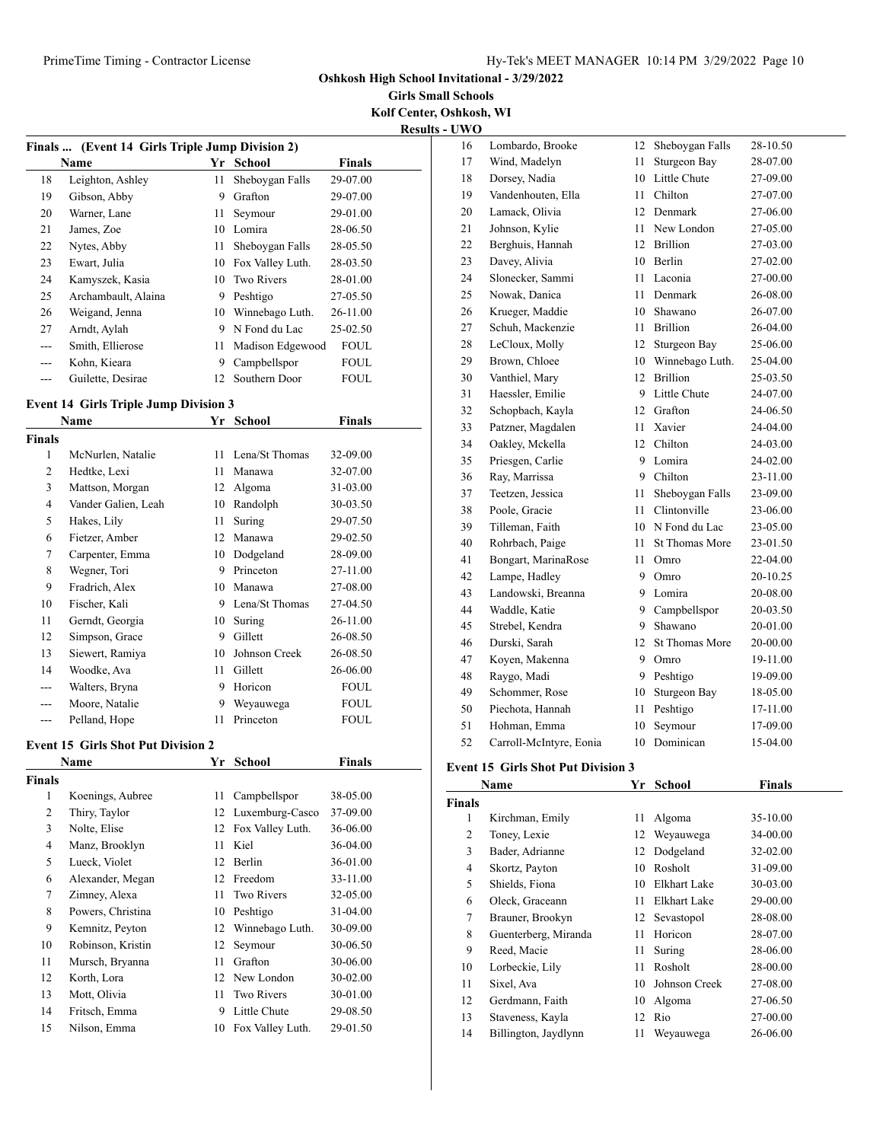**Oshkosh High School Invitational - 3/29/2022**

**Girls Small Schools Kolf Center, Oshkosh, WI**

**Results - UWO**

|     | Finals  (Event 14 Girls Triple Jump Division 2) |    |                  |               |  |  |  |
|-----|-------------------------------------------------|----|------------------|---------------|--|--|--|
|     | Name                                            | Yr | School           | <b>Finals</b> |  |  |  |
| 18  | Leighton, Ashley                                | 11 | Sheboygan Falls  | 29-07.00      |  |  |  |
| 19  | Gibson, Abby                                    | 9  | Grafton          | 29-07.00      |  |  |  |
| 20  | Warner, Lane                                    | 11 | Seymour          | 29-01.00      |  |  |  |
| 21  | James, Zoe                                      | 10 | Lomira           | 28-06.50      |  |  |  |
| 22  | Nytes, Abby                                     | 11 | Sheboygan Falls  | 28-05.50      |  |  |  |
| 23  | Ewart, Julia                                    | 10 | Fox Valley Luth. | 28-03.50      |  |  |  |
| 24  | Kamyszek, Kasia                                 | 10 | Two Rivers       | 28-01.00      |  |  |  |
| 25  | Archambault, Alaina                             | 9  | Peshtigo         | 27-05.50      |  |  |  |
| 26  | Weigand, Jenna                                  | 10 | Winnebago Luth.  | 26-11.00      |  |  |  |
| 27  | Arndt, Aylah                                    | 9  | N Fond du Lac    | 25-02.50      |  |  |  |
| --- | Smith, Ellierose                                | 11 | Madison Edgewood | <b>FOUL</b>   |  |  |  |
| --- | Kohn, Kieara                                    | 9  | Campbellspor     | <b>FOUL</b>   |  |  |  |
|     | Guilette, Desirae                               | 12 | Southern Door    | <b>FOUL</b>   |  |  |  |

## **Event 14 Girls Triple Jump Division 3**

| $E$ , ent 1 i $\sigma$ on is 11 ipic vanily Division $\sigma$ |                     |    |                |             |  |  |
|---------------------------------------------------------------|---------------------|----|----------------|-------------|--|--|
|                                                               | Name                | Yr | School         | Finals      |  |  |
| Finals                                                        |                     |    |                |             |  |  |
| 1                                                             | McNurlen, Natalie   | 11 | Lena/St Thomas | 32-09.00    |  |  |
| 2                                                             | Hedtke, Lexi        | 11 | Manawa         | 32-07.00    |  |  |
| 3                                                             | Mattson, Morgan     | 12 | Algoma         | 31-03.00    |  |  |
| $\overline{4}$                                                | Vander Galien, Leah | 10 | Randolph       | 30-03.50    |  |  |
| 5                                                             | Hakes, Lily         | 11 | Suring         | 29-07.50    |  |  |
| 6                                                             | Fietzer, Amber      | 12 | Manawa         | 29-02.50    |  |  |
| 7                                                             | Carpenter, Emma     | 10 | Dodgeland      | 28-09.00    |  |  |
| 8                                                             | Wegner, Tori        | 9  | Princeton      | 27-11.00    |  |  |
| 9                                                             | Fradrich, Alex      | 10 | Manawa         | 27-08.00    |  |  |
| 10                                                            | Fischer, Kali       | 9  | Lena/St Thomas | 27-04.50    |  |  |
| 11                                                            | Gerndt, Georgia     | 10 | Suring         | 26-11.00    |  |  |
| 12                                                            | Simpson, Grace      | 9  | Gillett        | 26-08.50    |  |  |
| 13                                                            | Siewert, Ramiya     | 10 | Johnson Creek  | 26-08.50    |  |  |
| 14                                                            | Woodke, Ava         | 11 | Gillett        | 26-06.00    |  |  |
| ---                                                           | Walters, Bryna      | 9  | Horicon        | <b>FOUL</b> |  |  |
| ---                                                           | Moore, Natalie      | 9  | Weyauwega      | <b>FOUL</b> |  |  |
|                                                               | Pelland, Hope       | 11 | Princeton      | <b>FOUL</b> |  |  |

#### **Event 15 Girls Shot Put Division 2**

| Name          |                   | Yr | School            | Finals       |
|---------------|-------------------|----|-------------------|--------------|
| <b>Finals</b> |                   |    |                   |              |
| 1             | Koenings, Aubree  | 11 | Campbellspor      | 38-05.00     |
| 2             | Thiry, Taylor     | 12 | Luxemburg-Casco   | 37-09.00     |
| 3             | Nolte, Elise      | 12 | Fox Valley Luth.  | 36-06.00     |
| 4             | Manz, Brooklyn    | 11 | Kiel              | 36-04.00     |
| 5             | Lueck, Violet     | 12 | Berlin            | 36-01.00     |
| 6             | Alexander, Megan  | 12 | Freedom           | 33-11.00     |
| 7             | Zimney, Alexa     | 11 | <b>Two Rivers</b> | 32-05.00     |
| 8             | Powers, Christina | 10 | Peshtigo          | $31 - 04.00$ |
| 9             | Kemnitz, Peyton   | 12 | Winnebago Luth.   | 30-09.00     |
| 10            | Robinson, Kristin | 12 | Seymour           | 30-06.50     |
| 11            | Mursch, Bryanna   | 11 | Grafton           | 30-06.00     |
| 12            | Korth, Lora       | 12 | New London        | $30 - 02.00$ |
| 13            | Mott, Olivia      | 11 | <b>Two Rivers</b> | 30-01.00     |
| 14            | Fritsch, Emma     | 9  | Little Chute      | 29-08.50     |
| 15            | Nilson, Emma      | 10 | Fox Valley Luth.  | 29-01.50     |

| 16 | Lombardo, Brooke        | 12 | Sheboygan Falls       | 28-10.50 |
|----|-------------------------|----|-----------------------|----------|
| 17 | Wind, Madelyn           | 11 | <b>Sturgeon Bay</b>   | 28-07.00 |
| 18 | Dorsey, Nadia           | 10 | Little Chute          | 27-09.00 |
| 19 | Vandenhouten, Ella      | 11 | Chilton               | 27-07.00 |
| 20 | Lamack, Olivia          | 12 | Denmark               | 27-06.00 |
| 21 | Johnson, Kylie          | 11 | New London            | 27-05.00 |
| 22 | Berghuis, Hannah        | 12 | <b>Brillion</b>       | 27-03.00 |
| 23 | Davey, Alivia           | 10 | Berlin                | 27-02.00 |
| 24 | Slonecker, Sammi        | 11 | Laconia               | 27-00.00 |
| 25 | Nowak, Danica           | 11 | Denmark               | 26-08.00 |
| 26 | Krueger, Maddie         | 10 | Shawano               | 26-07.00 |
| 27 | Schuh, Mackenzie        | 11 | <b>Brillion</b>       | 26-04.00 |
| 28 | LeCloux, Molly          | 12 | Sturgeon Bay          | 25-06.00 |
| 29 | Brown, Chloee           | 10 | Winnebago Luth.       | 25-04.00 |
| 30 | Vanthiel, Mary          | 12 | <b>Brillion</b>       | 25-03.50 |
| 31 | Haessler, Emilie        | 9  | Little Chute          | 24-07.00 |
| 32 | Schopbach, Kayla        | 12 | Grafton               | 24-06.50 |
| 33 | Patzner, Magdalen       | 11 | Xavier                | 24-04.00 |
| 34 | Oakley, Mckella         | 12 | Chilton               | 24-03.00 |
| 35 | Priesgen, Carlie        | 9  | Lomira                | 24-02.00 |
| 36 | Ray, Marrissa           | 9  | Chilton               | 23-11.00 |
| 37 | Teetzen, Jessica        | 11 | Sheboygan Falls       | 23-09.00 |
| 38 | Poole, Gracie           | 11 | Clintonville          | 23-06.00 |
| 39 | Tilleman, Faith         | 10 | N Fond du Lac         | 23-05.00 |
| 40 | Rohrbach, Paige         | 11 | <b>St Thomas More</b> | 23-01.50 |
| 41 | Bongart, MarinaRose     | 11 | Omro                  | 22-04.00 |
| 42 | Lampe, Hadley           | 9  | Omro                  | 20-10.25 |
| 43 | Landowski, Breanna      | 9  | Lomira                | 20-08.00 |
| 44 | Waddle, Katie           | 9  | Campbellspor          | 20-03.50 |
| 45 | Strebel, Kendra         | 9  | Shawano               | 20-01.00 |
| 46 | Durski, Sarah           | 12 | <b>St Thomas More</b> | 20-00.00 |
| 47 | Koyen, Makenna          | 9  | Omro                  | 19-11.00 |
| 48 | Raygo, Madi             | 9  | Peshtigo              | 19-09.00 |
| 49 | Schommer, Rose          | 10 | Sturgeon Bay          | 18-05.00 |
| 50 | Piechota, Hannah        | 11 | Peshtigo              | 17-11.00 |
| 51 | Hohman, Emma            | 10 | Seymour               | 17-09.00 |
| 52 | Carroll-McIntyre, Eonia | 10 | Dominican             | 15-04.00 |

#### **Event 15 Girls Shot Put Division 3 Name Yang Shot Put Division 3**<br>**Mame Wr. School Finals**

|               | Name                 | Y r | School        | Finals   |  |
|---------------|----------------------|-----|---------------|----------|--|
| <b>Finals</b> |                      |     |               |          |  |
| 1             | Kirchman, Emily      | 11  | Algoma        | 35-10.00 |  |
| 2             | Toney, Lexie         | 12  | Weyauwega     | 34-00.00 |  |
| 3             | Bader, Adrianne      | 12  | Dodgeland     | 32-02.00 |  |
| 4             | Skortz, Payton       | 10  | Rosholt       | 31-09.00 |  |
| 5             | Shields, Fiona       | 10  | Elkhart Lake  | 30-03.00 |  |
| 6             | Oleck, Graceann      | 11  | Elkhart Lake  | 29-00.00 |  |
| 7             | Brauner, Brookyn     | 12  | Sevastopol    | 28-08.00 |  |
| 8             | Guenterberg, Miranda | 11  | Horicon       | 28-07.00 |  |
| 9             | Reed, Macie          | 11  | Suring        | 28-06.00 |  |
| 10            | Lorbeckie, Lily      | 11  | Rosholt       | 28-00.00 |  |
| 11            | Sixel, Ava           | 10  | Johnson Creek | 27-08.00 |  |
| 12            | Gerdmann, Faith      | 10  | Algoma        | 27-06.50 |  |
| 13            | Staveness, Kayla     | 12  | Rio           | 27-00.00 |  |
| 14            | Billington, Jaydlynn | 11  | Weyauwega     | 26-06.00 |  |